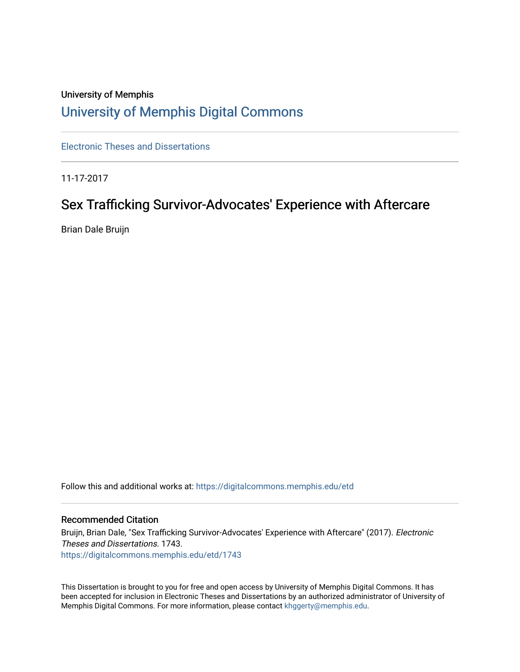# University of Memphis [University of Memphis Digital Commons](https://digitalcommons.memphis.edu/)

[Electronic Theses and Dissertations](https://digitalcommons.memphis.edu/etd)

11-17-2017

# Sex Trafficking Survivor-Advocates' Experience with Aftercare

Brian Dale Bruijn

Follow this and additional works at: [https://digitalcommons.memphis.edu/etd](https://digitalcommons.memphis.edu/etd?utm_source=digitalcommons.memphis.edu%2Fetd%2F1743&utm_medium=PDF&utm_campaign=PDFCoverPages) 

### Recommended Citation

Bruijn, Brian Dale, "Sex Trafficking Survivor-Advocates' Experience with Aftercare" (2017). Electronic Theses and Dissertations. 1743. [https://digitalcommons.memphis.edu/etd/1743](https://digitalcommons.memphis.edu/etd/1743?utm_source=digitalcommons.memphis.edu%2Fetd%2F1743&utm_medium=PDF&utm_campaign=PDFCoverPages) 

This Dissertation is brought to you for free and open access by University of Memphis Digital Commons. It has been accepted for inclusion in Electronic Theses and Dissertations by an authorized administrator of University of Memphis Digital Commons. For more information, please contact [khggerty@memphis.edu.](mailto:khggerty@memphis.edu)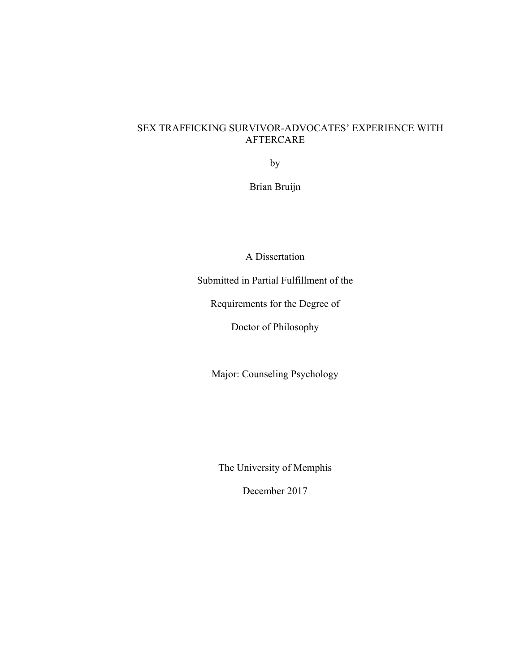# SEX TRAFFICKING SURVIVOR-ADVOCATES' EXPERIENCE WITH AFTERCARE

by

Brian Bruijn

A Dissertation

Submitted in Partial Fulfillment of the

Requirements for the Degree of

Doctor of Philosophy

Major: Counseling Psychology

The University of Memphis

December 2017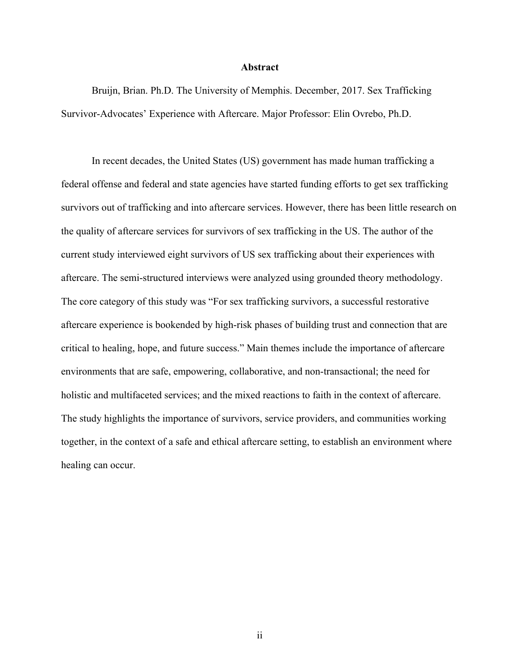#### **Abstract**

Bruijn, Brian. Ph.D. The University of Memphis. December, 2017. Sex Trafficking Survivor-Advocates' Experience with Aftercare. Major Professor: Elin Ovrebo, Ph.D.

In recent decades, the United States (US) government has made human trafficking a federal offense and federal and state agencies have started funding efforts to get sex trafficking survivors out of trafficking and into aftercare services. However, there has been little research on the quality of aftercare services for survivors of sex trafficking in the US. The author of the current study interviewed eight survivors of US sex trafficking about their experiences with aftercare. The semi-structured interviews were analyzed using grounded theory methodology. The core category of this study was "For sex trafficking survivors, a successful restorative aftercare experience is bookended by high-risk phases of building trust and connection that are critical to healing, hope, and future success." Main themes include the importance of aftercare environments that are safe, empowering, collaborative, and non-transactional; the need for holistic and multifaceted services; and the mixed reactions to faith in the context of aftercare. The study highlights the importance of survivors, service providers, and communities working together, in the context of a safe and ethical aftercare setting, to establish an environment where healing can occur.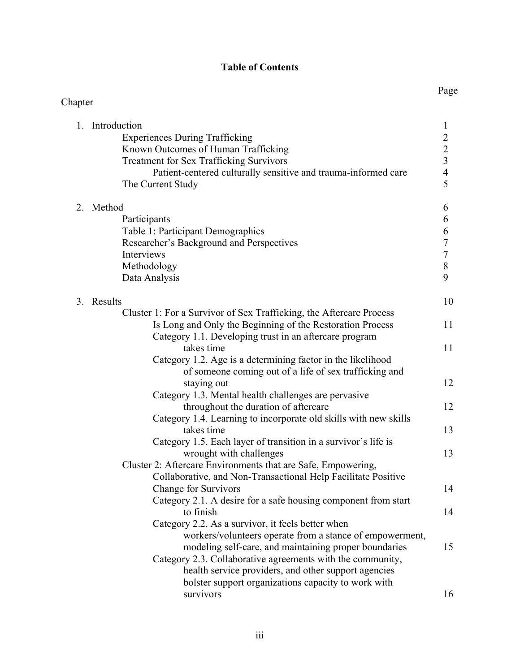# **Table of Contents**

| Chapter<br>1. Introduction<br>1<br>$\frac{2}{3}$<br>$\frac{3}{4}$<br>5<br><b>Experiences During Trafficking</b><br>Known Outcomes of Human Trafficking<br><b>Treatment for Sex Trafficking Survivors</b><br>Patient-centered culturally sensitive and trauma-informed care<br>The Current Study<br>2. Method<br>6<br>6<br>Participants<br>6778<br>Table 1: Participant Demographics<br>Researcher's Background and Perspectives<br>Interviews<br>Methodology<br>9<br>Data Analysis<br>3. Results<br>10<br>Cluster 1: For a Survivor of Sex Trafficking, the Aftercare Process<br>Is Long and Only the Beginning of the Restoration Process<br>11<br>Category 1.1. Developing trust in an aftercare program<br>takes time<br>11<br>Category 1.2. Age is a determining factor in the likelihood<br>of someone coming out of a life of sex trafficking and<br>12<br>staying out<br>Category 1.3. Mental health challenges are pervasive<br>throughout the duration of aftercare<br>12<br>Category 1.4. Learning to incorporate old skills with new skills<br>takes time<br>13<br>Category 1.5. Each layer of transition in a survivor's life is<br>wrought with challenges<br>13<br>Cluster 2: Aftercare Environments that are Safe, Empowering,<br>Collaborative, and Non-Transactional Help Facilitate Positive<br><b>Change for Survivors</b><br>14<br>Category 2.1. A desire for a safe housing component from start<br>to finish<br>14<br>Category 2.2. As a survivor, it feels better when<br>workers/volunteers operate from a stance of empowerment,<br>modeling self-care, and maintaining proper boundaries<br>15<br>Category 2.3. Collaborative agreements with the community,<br>health service providers, and other support agencies<br>bolster support organizations capacity to work with |           | Page |
|-------------------------------------------------------------------------------------------------------------------------------------------------------------------------------------------------------------------------------------------------------------------------------------------------------------------------------------------------------------------------------------------------------------------------------------------------------------------------------------------------------------------------------------------------------------------------------------------------------------------------------------------------------------------------------------------------------------------------------------------------------------------------------------------------------------------------------------------------------------------------------------------------------------------------------------------------------------------------------------------------------------------------------------------------------------------------------------------------------------------------------------------------------------------------------------------------------------------------------------------------------------------------------------------------------------------------------------------------------------------------------------------------------------------------------------------------------------------------------------------------------------------------------------------------------------------------------------------------------------------------------------------------------------------------------------------------------------------------------------------------------------------------------------------------------|-----------|------|
|                                                                                                                                                                                                                                                                                                                                                                                                                                                                                                                                                                                                                                                                                                                                                                                                                                                                                                                                                                                                                                                                                                                                                                                                                                                                                                                                                                                                                                                                                                                                                                                                                                                                                                                                                                                                       |           |      |
|                                                                                                                                                                                                                                                                                                                                                                                                                                                                                                                                                                                                                                                                                                                                                                                                                                                                                                                                                                                                                                                                                                                                                                                                                                                                                                                                                                                                                                                                                                                                                                                                                                                                                                                                                                                                       |           |      |
|                                                                                                                                                                                                                                                                                                                                                                                                                                                                                                                                                                                                                                                                                                                                                                                                                                                                                                                                                                                                                                                                                                                                                                                                                                                                                                                                                                                                                                                                                                                                                                                                                                                                                                                                                                                                       |           |      |
|                                                                                                                                                                                                                                                                                                                                                                                                                                                                                                                                                                                                                                                                                                                                                                                                                                                                                                                                                                                                                                                                                                                                                                                                                                                                                                                                                                                                                                                                                                                                                                                                                                                                                                                                                                                                       |           |      |
|                                                                                                                                                                                                                                                                                                                                                                                                                                                                                                                                                                                                                                                                                                                                                                                                                                                                                                                                                                                                                                                                                                                                                                                                                                                                                                                                                                                                                                                                                                                                                                                                                                                                                                                                                                                                       |           |      |
|                                                                                                                                                                                                                                                                                                                                                                                                                                                                                                                                                                                                                                                                                                                                                                                                                                                                                                                                                                                                                                                                                                                                                                                                                                                                                                                                                                                                                                                                                                                                                                                                                                                                                                                                                                                                       |           |      |
|                                                                                                                                                                                                                                                                                                                                                                                                                                                                                                                                                                                                                                                                                                                                                                                                                                                                                                                                                                                                                                                                                                                                                                                                                                                                                                                                                                                                                                                                                                                                                                                                                                                                                                                                                                                                       |           |      |
|                                                                                                                                                                                                                                                                                                                                                                                                                                                                                                                                                                                                                                                                                                                                                                                                                                                                                                                                                                                                                                                                                                                                                                                                                                                                                                                                                                                                                                                                                                                                                                                                                                                                                                                                                                                                       |           |      |
|                                                                                                                                                                                                                                                                                                                                                                                                                                                                                                                                                                                                                                                                                                                                                                                                                                                                                                                                                                                                                                                                                                                                                                                                                                                                                                                                                                                                                                                                                                                                                                                                                                                                                                                                                                                                       |           |      |
|                                                                                                                                                                                                                                                                                                                                                                                                                                                                                                                                                                                                                                                                                                                                                                                                                                                                                                                                                                                                                                                                                                                                                                                                                                                                                                                                                                                                                                                                                                                                                                                                                                                                                                                                                                                                       |           |      |
|                                                                                                                                                                                                                                                                                                                                                                                                                                                                                                                                                                                                                                                                                                                                                                                                                                                                                                                                                                                                                                                                                                                                                                                                                                                                                                                                                                                                                                                                                                                                                                                                                                                                                                                                                                                                       |           |      |
|                                                                                                                                                                                                                                                                                                                                                                                                                                                                                                                                                                                                                                                                                                                                                                                                                                                                                                                                                                                                                                                                                                                                                                                                                                                                                                                                                                                                                                                                                                                                                                                                                                                                                                                                                                                                       |           |      |
|                                                                                                                                                                                                                                                                                                                                                                                                                                                                                                                                                                                                                                                                                                                                                                                                                                                                                                                                                                                                                                                                                                                                                                                                                                                                                                                                                                                                                                                                                                                                                                                                                                                                                                                                                                                                       |           |      |
|                                                                                                                                                                                                                                                                                                                                                                                                                                                                                                                                                                                                                                                                                                                                                                                                                                                                                                                                                                                                                                                                                                                                                                                                                                                                                                                                                                                                                                                                                                                                                                                                                                                                                                                                                                                                       |           |      |
|                                                                                                                                                                                                                                                                                                                                                                                                                                                                                                                                                                                                                                                                                                                                                                                                                                                                                                                                                                                                                                                                                                                                                                                                                                                                                                                                                                                                                                                                                                                                                                                                                                                                                                                                                                                                       |           |      |
|                                                                                                                                                                                                                                                                                                                                                                                                                                                                                                                                                                                                                                                                                                                                                                                                                                                                                                                                                                                                                                                                                                                                                                                                                                                                                                                                                                                                                                                                                                                                                                                                                                                                                                                                                                                                       |           |      |
|                                                                                                                                                                                                                                                                                                                                                                                                                                                                                                                                                                                                                                                                                                                                                                                                                                                                                                                                                                                                                                                                                                                                                                                                                                                                                                                                                                                                                                                                                                                                                                                                                                                                                                                                                                                                       |           |      |
|                                                                                                                                                                                                                                                                                                                                                                                                                                                                                                                                                                                                                                                                                                                                                                                                                                                                                                                                                                                                                                                                                                                                                                                                                                                                                                                                                                                                                                                                                                                                                                                                                                                                                                                                                                                                       |           |      |
|                                                                                                                                                                                                                                                                                                                                                                                                                                                                                                                                                                                                                                                                                                                                                                                                                                                                                                                                                                                                                                                                                                                                                                                                                                                                                                                                                                                                                                                                                                                                                                                                                                                                                                                                                                                                       |           |      |
|                                                                                                                                                                                                                                                                                                                                                                                                                                                                                                                                                                                                                                                                                                                                                                                                                                                                                                                                                                                                                                                                                                                                                                                                                                                                                                                                                                                                                                                                                                                                                                                                                                                                                                                                                                                                       |           |      |
|                                                                                                                                                                                                                                                                                                                                                                                                                                                                                                                                                                                                                                                                                                                                                                                                                                                                                                                                                                                                                                                                                                                                                                                                                                                                                                                                                                                                                                                                                                                                                                                                                                                                                                                                                                                                       |           |      |
|                                                                                                                                                                                                                                                                                                                                                                                                                                                                                                                                                                                                                                                                                                                                                                                                                                                                                                                                                                                                                                                                                                                                                                                                                                                                                                                                                                                                                                                                                                                                                                                                                                                                                                                                                                                                       |           |      |
|                                                                                                                                                                                                                                                                                                                                                                                                                                                                                                                                                                                                                                                                                                                                                                                                                                                                                                                                                                                                                                                                                                                                                                                                                                                                                                                                                                                                                                                                                                                                                                                                                                                                                                                                                                                                       |           |      |
|                                                                                                                                                                                                                                                                                                                                                                                                                                                                                                                                                                                                                                                                                                                                                                                                                                                                                                                                                                                                                                                                                                                                                                                                                                                                                                                                                                                                                                                                                                                                                                                                                                                                                                                                                                                                       |           |      |
|                                                                                                                                                                                                                                                                                                                                                                                                                                                                                                                                                                                                                                                                                                                                                                                                                                                                                                                                                                                                                                                                                                                                                                                                                                                                                                                                                                                                                                                                                                                                                                                                                                                                                                                                                                                                       |           |      |
|                                                                                                                                                                                                                                                                                                                                                                                                                                                                                                                                                                                                                                                                                                                                                                                                                                                                                                                                                                                                                                                                                                                                                                                                                                                                                                                                                                                                                                                                                                                                                                                                                                                                                                                                                                                                       |           |      |
|                                                                                                                                                                                                                                                                                                                                                                                                                                                                                                                                                                                                                                                                                                                                                                                                                                                                                                                                                                                                                                                                                                                                                                                                                                                                                                                                                                                                                                                                                                                                                                                                                                                                                                                                                                                                       |           |      |
|                                                                                                                                                                                                                                                                                                                                                                                                                                                                                                                                                                                                                                                                                                                                                                                                                                                                                                                                                                                                                                                                                                                                                                                                                                                                                                                                                                                                                                                                                                                                                                                                                                                                                                                                                                                                       |           |      |
|                                                                                                                                                                                                                                                                                                                                                                                                                                                                                                                                                                                                                                                                                                                                                                                                                                                                                                                                                                                                                                                                                                                                                                                                                                                                                                                                                                                                                                                                                                                                                                                                                                                                                                                                                                                                       |           |      |
|                                                                                                                                                                                                                                                                                                                                                                                                                                                                                                                                                                                                                                                                                                                                                                                                                                                                                                                                                                                                                                                                                                                                                                                                                                                                                                                                                                                                                                                                                                                                                                                                                                                                                                                                                                                                       |           |      |
|                                                                                                                                                                                                                                                                                                                                                                                                                                                                                                                                                                                                                                                                                                                                                                                                                                                                                                                                                                                                                                                                                                                                                                                                                                                                                                                                                                                                                                                                                                                                                                                                                                                                                                                                                                                                       |           |      |
|                                                                                                                                                                                                                                                                                                                                                                                                                                                                                                                                                                                                                                                                                                                                                                                                                                                                                                                                                                                                                                                                                                                                                                                                                                                                                                                                                                                                                                                                                                                                                                                                                                                                                                                                                                                                       |           |      |
|                                                                                                                                                                                                                                                                                                                                                                                                                                                                                                                                                                                                                                                                                                                                                                                                                                                                                                                                                                                                                                                                                                                                                                                                                                                                                                                                                                                                                                                                                                                                                                                                                                                                                                                                                                                                       |           |      |
|                                                                                                                                                                                                                                                                                                                                                                                                                                                                                                                                                                                                                                                                                                                                                                                                                                                                                                                                                                                                                                                                                                                                                                                                                                                                                                                                                                                                                                                                                                                                                                                                                                                                                                                                                                                                       |           |      |
|                                                                                                                                                                                                                                                                                                                                                                                                                                                                                                                                                                                                                                                                                                                                                                                                                                                                                                                                                                                                                                                                                                                                                                                                                                                                                                                                                                                                                                                                                                                                                                                                                                                                                                                                                                                                       |           |      |
|                                                                                                                                                                                                                                                                                                                                                                                                                                                                                                                                                                                                                                                                                                                                                                                                                                                                                                                                                                                                                                                                                                                                                                                                                                                                                                                                                                                                                                                                                                                                                                                                                                                                                                                                                                                                       |           |      |
|                                                                                                                                                                                                                                                                                                                                                                                                                                                                                                                                                                                                                                                                                                                                                                                                                                                                                                                                                                                                                                                                                                                                                                                                                                                                                                                                                                                                                                                                                                                                                                                                                                                                                                                                                                                                       |           |      |
|                                                                                                                                                                                                                                                                                                                                                                                                                                                                                                                                                                                                                                                                                                                                                                                                                                                                                                                                                                                                                                                                                                                                                                                                                                                                                                                                                                                                                                                                                                                                                                                                                                                                                                                                                                                                       |           |      |
|                                                                                                                                                                                                                                                                                                                                                                                                                                                                                                                                                                                                                                                                                                                                                                                                                                                                                                                                                                                                                                                                                                                                                                                                                                                                                                                                                                                                                                                                                                                                                                                                                                                                                                                                                                                                       |           |      |
|                                                                                                                                                                                                                                                                                                                                                                                                                                                                                                                                                                                                                                                                                                                                                                                                                                                                                                                                                                                                                                                                                                                                                                                                                                                                                                                                                                                                                                                                                                                                                                                                                                                                                                                                                                                                       | survivors | 16   |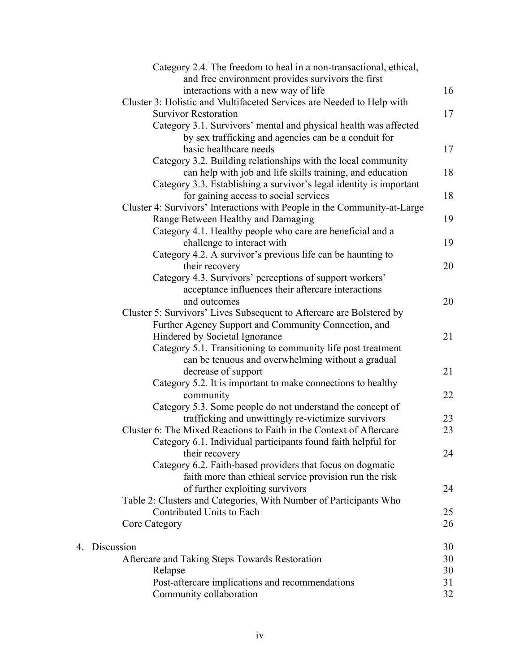| Category 2.4. The freedom to heal in a non-transactional, ethical,       |    |
|--------------------------------------------------------------------------|----|
| and free environment provides survivors the first                        |    |
| interactions with a new way of life                                      | 16 |
| Cluster 3: Holistic and Multifaceted Services are Needed to Help with    |    |
| <b>Survivor Restoration</b>                                              | 17 |
| Category 3.1. Survivors' mental and physical health was affected         |    |
| by sex trafficking and agencies can be a conduit for                     |    |
| basic healthcare needs                                                   | 17 |
| Category 3.2. Building relationships with the local community            |    |
| can help with job and life skills training, and education                | 18 |
| Category 3.3. Establishing a survivor's legal identity is important      |    |
| for gaining access to social services                                    | 18 |
| Cluster 4: Survivors' Interactions with People in the Community-at-Large |    |
| Range Between Healthy and Damaging                                       | 19 |
| Category 4.1. Healthy people who care are beneficial and a               |    |
| challenge to interact with                                               | 19 |
| Category 4.2. A survivor's previous life can be haunting to              |    |
| their recovery                                                           | 20 |
| Category 4.3. Survivors' perceptions of support workers'                 |    |
| acceptance influences their aftercare interactions                       |    |
| and outcomes                                                             | 20 |
| Cluster 5: Survivors' Lives Subsequent to Aftercare are Bolstered by     |    |
| Further Agency Support and Community Connection, and                     |    |
| Hindered by Societal Ignorance                                           | 21 |
| Category 5.1. Transitioning to community life post treatment             |    |
| can be tenuous and overwhelming without a gradual                        |    |
| decrease of support                                                      | 21 |
| Category 5.2. It is important to make connections to healthy             |    |
| community                                                                | 22 |
| Category 5.3. Some people do not understand the concept of               |    |
| trafficking and unwittingly re-victimize survivors                       | 23 |
| Cluster 6: The Mixed Reactions to Faith in the Context of Aftercare      | 23 |
| Category 6.1. Individual participants found faith helpful for            |    |
| their recovery                                                           | 24 |
| Category 6.2. Faith-based providers that focus on dogmatic               |    |
| faith more than ethical service provision run the risk                   |    |
| of further exploiting survivors                                          | 24 |
| Table 2: Clusters and Categories, With Number of Participants Who        |    |
| Contributed Units to Each                                                | 25 |
| Core Category                                                            | 26 |
| 4. Discussion                                                            | 30 |
| Aftercare and Taking Steps Towards Restoration                           | 30 |
| Relapse                                                                  | 30 |
| Post-aftercare implications and recommendations                          | 31 |
| Community collaboration                                                  | 32 |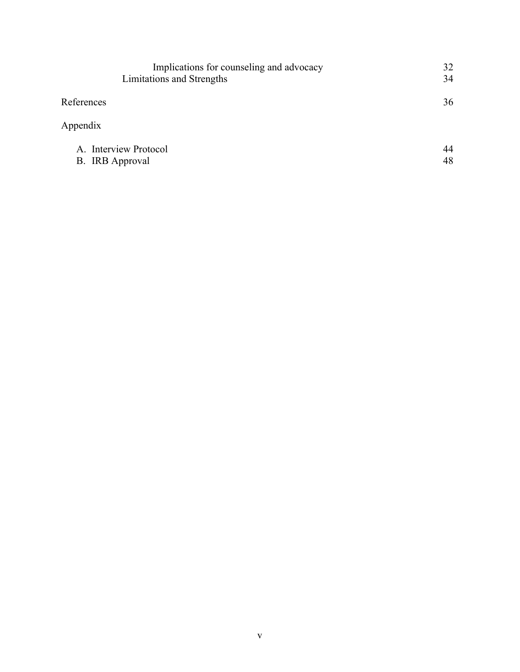| Implications for counseling and advocacy | 32 |
|------------------------------------------|----|
| Limitations and Strengths                | 34 |
| References                               | 36 |
| Appendix                                 |    |
| A. Interview Protocol                    | 44 |
| <b>B.</b> IRB Approval                   | 48 |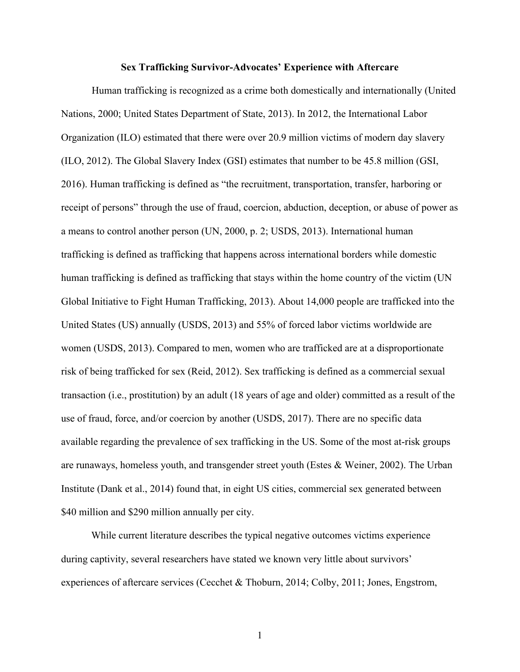#### **Sex Trafficking Survivor-Advocates' Experience with Aftercare**

Human trafficking is recognized as a crime both domestically and internationally (United Nations, 2000; United States Department of State, 2013). In 2012, the International Labor Organization (ILO) estimated that there were over 20.9 million victims of modern day slavery (ILO, 2012). The Global Slavery Index (GSI) estimates that number to be 45.8 million (GSI, 2016). Human trafficking is defined as "the recruitment, transportation, transfer, harboring or receipt of persons" through the use of fraud, coercion, abduction, deception, or abuse of power as a means to control another person (UN, 2000, p. 2; USDS, 2013). International human trafficking is defined as trafficking that happens across international borders while domestic human trafficking is defined as trafficking that stays within the home country of the victim (UN Global Initiative to Fight Human Trafficking, 2013). About 14,000 people are trafficked into the United States (US) annually (USDS, 2013) and 55% of forced labor victims worldwide are women (USDS, 2013). Compared to men, women who are trafficked are at a disproportionate risk of being trafficked for sex (Reid, 2012). Sex trafficking is defined as a commercial sexual transaction (i.e., prostitution) by an adult (18 years of age and older) committed as a result of the use of fraud, force, and/or coercion by another (USDS, 2017). There are no specific data available regarding the prevalence of sex trafficking in the US. Some of the most at-risk groups are runaways, homeless youth, and transgender street youth (Estes & Weiner, 2002). The Urban Institute (Dank et al., 2014) found that, in eight US cities, commercial sex generated between \$40 million and \$290 million annually per city.

While current literature describes the typical negative outcomes victims experience during captivity, several researchers have stated we known very little about survivors' experiences of aftercare services (Cecchet & Thoburn, 2014; Colby, 2011; Jones, Engstrom,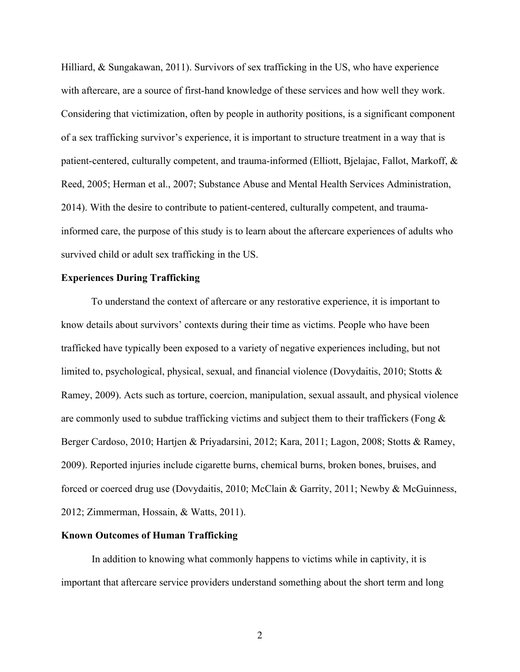Hilliard, & Sungakawan, 2011). Survivors of sex trafficking in the US, who have experience with aftercare, are a source of first-hand knowledge of these services and how well they work. Considering that victimization, often by people in authority positions, is a significant component of a sex trafficking survivor's experience, it is important to structure treatment in a way that is patient-centered, culturally competent, and trauma-informed (Elliott, Bjelajac, Fallot, Markoff, & Reed, 2005; Herman et al., 2007; Substance Abuse and Mental Health Services Administration, 2014). With the desire to contribute to patient-centered, culturally competent, and traumainformed care, the purpose of this study is to learn about the aftercare experiences of adults who survived child or adult sex trafficking in the US.

# **Experiences During Trafficking**

To understand the context of aftercare or any restorative experience, it is important to know details about survivors' contexts during their time as victims. People who have been trafficked have typically been exposed to a variety of negative experiences including, but not limited to, psychological, physical, sexual, and financial violence (Dovydaitis, 2010; Stotts & Ramey, 2009). Acts such as torture, coercion, manipulation, sexual assault, and physical violence are commonly used to subdue trafficking victims and subject them to their traffickers (Fong  $\&$ Berger Cardoso, 2010; Hartjen & Priyadarsini, 2012; Kara, 2011; Lagon, 2008; Stotts & Ramey, 2009). Reported injuries include cigarette burns, chemical burns, broken bones, bruises, and forced or coerced drug use (Dovydaitis, 2010; McClain & Garrity, 2011; Newby & McGuinness, 2012; Zimmerman, Hossain, & Watts, 2011).

## **Known Outcomes of Human Trafficking**

In addition to knowing what commonly happens to victims while in captivity, it is important that aftercare service providers understand something about the short term and long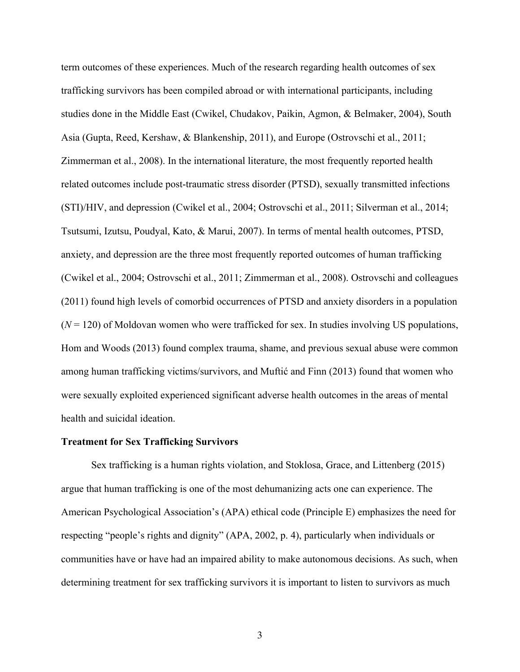term outcomes of these experiences. Much of the research regarding health outcomes of sex trafficking survivors has been compiled abroad or with international participants, including studies done in the Middle East (Cwikel, Chudakov, Paikin, Agmon, & Belmaker, 2004), South Asia (Gupta, Reed, Kershaw, & Blankenship, 2011), and Europe (Ostrovschi et al., 2011; Zimmerman et al., 2008). In the international literature, the most frequently reported health related outcomes include post-traumatic stress disorder (PTSD), sexually transmitted infections (STI)/HIV, and depression (Cwikel et al., 2004; Ostrovschi et al., 2011; Silverman et al., 2014; Tsutsumi, Izutsu, Poudyal, Kato, & Marui, 2007). In terms of mental health outcomes, PTSD, anxiety, and depression are the three most frequently reported outcomes of human trafficking (Cwikel et al., 2004; Ostrovschi et al., 2011; Zimmerman et al., 2008). Ostrovschi and colleagues (2011) found high levels of comorbid occurrences of PTSD and anxiety disorders in a population  $(N = 120)$  of Moldovan women who were trafficked for sex. In studies involving US populations, Hom and Woods (2013) found complex trauma, shame, and previous sexual abuse were common among human trafficking victims/survivors, and Muftić and Finn (2013) found that women who were sexually exploited experienced significant adverse health outcomes in the areas of mental health and suicidal ideation.

#### **Treatment for Sex Trafficking Survivors**

Sex trafficking is a human rights violation, and Stoklosa, Grace, and Littenberg (2015) argue that human trafficking is one of the most dehumanizing acts one can experience. The American Psychological Association's (APA) ethical code (Principle E) emphasizes the need for respecting "people's rights and dignity" (APA, 2002, p. 4), particularly when individuals or communities have or have had an impaired ability to make autonomous decisions. As such, when determining treatment for sex trafficking survivors it is important to listen to survivors as much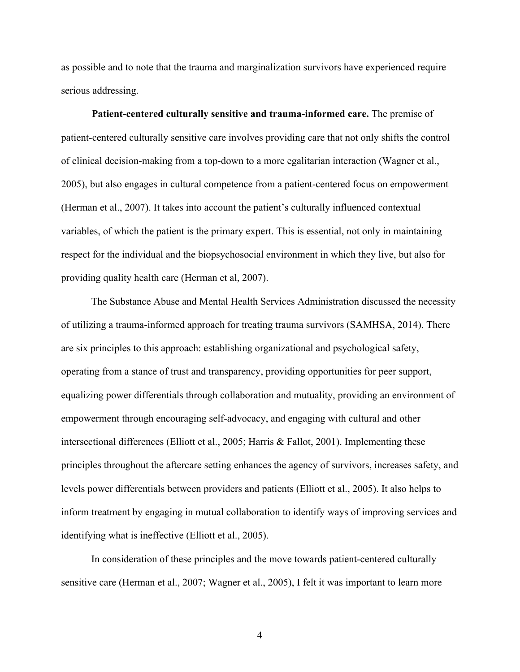as possible and to note that the trauma and marginalization survivors have experienced require serious addressing.

**Patient-centered culturally sensitive and trauma-informed care.** The premise of patient-centered culturally sensitive care involves providing care that not only shifts the control of clinical decision-making from a top-down to a more egalitarian interaction (Wagner et al., 2005), but also engages in cultural competence from a patient-centered focus on empowerment (Herman et al., 2007). It takes into account the patient's culturally influenced contextual variables, of which the patient is the primary expert. This is essential, not only in maintaining respect for the individual and the biopsychosocial environment in which they live, but also for providing quality health care (Herman et al, 2007).

The Substance Abuse and Mental Health Services Administration discussed the necessity of utilizing a trauma-informed approach for treating trauma survivors (SAMHSA, 2014). There are six principles to this approach: establishing organizational and psychological safety, operating from a stance of trust and transparency, providing opportunities for peer support, equalizing power differentials through collaboration and mutuality, providing an environment of empowerment through encouraging self-advocacy, and engaging with cultural and other intersectional differences (Elliott et al., 2005; Harris & Fallot, 2001). Implementing these principles throughout the aftercare setting enhances the agency of survivors, increases safety, and levels power differentials between providers and patients (Elliott et al., 2005). It also helps to inform treatment by engaging in mutual collaboration to identify ways of improving services and identifying what is ineffective (Elliott et al., 2005).

In consideration of these principles and the move towards patient-centered culturally sensitive care (Herman et al., 2007; Wagner et al., 2005), I felt it was important to learn more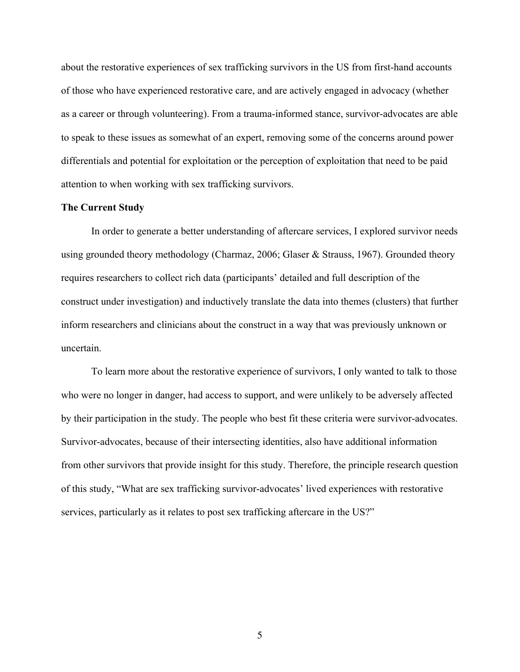about the restorative experiences of sex trafficking survivors in the US from first-hand accounts of those who have experienced restorative care, and are actively engaged in advocacy (whether as a career or through volunteering). From a trauma-informed stance, survivor-advocates are able to speak to these issues as somewhat of an expert, removing some of the concerns around power differentials and potential for exploitation or the perception of exploitation that need to be paid attention to when working with sex trafficking survivors.

# **The Current Study**

In order to generate a better understanding of aftercare services, I explored survivor needs using grounded theory methodology (Charmaz, 2006; Glaser & Strauss, 1967). Grounded theory requires researchers to collect rich data (participants' detailed and full description of the construct under investigation) and inductively translate the data into themes (clusters) that further inform researchers and clinicians about the construct in a way that was previously unknown or uncertain.

To learn more about the restorative experience of survivors, I only wanted to talk to those who were no longer in danger, had access to support, and were unlikely to be adversely affected by their participation in the study. The people who best fit these criteria were survivor-advocates. Survivor-advocates, because of their intersecting identities, also have additional information from other survivors that provide insight for this study. Therefore, the principle research question of this study, "What are sex trafficking survivor-advocates' lived experiences with restorative services, particularly as it relates to post sex trafficking aftercare in the US?"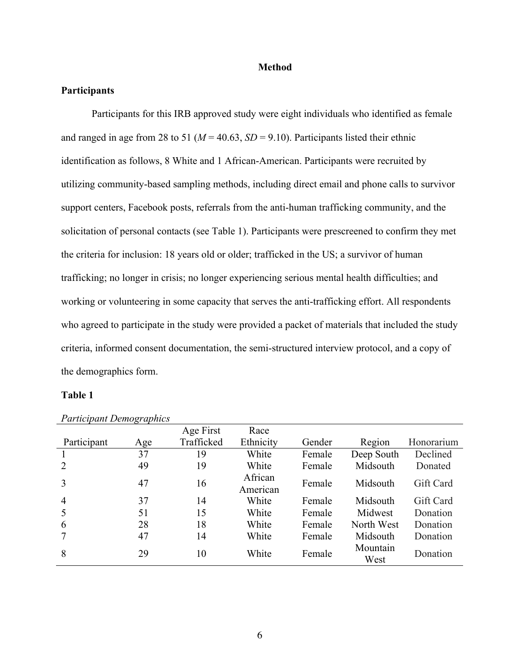#### **Method**

# **Participants**

Participants for this IRB approved study were eight individuals who identified as female and ranged in age from 28 to 51 ( $M = 40.63$ ,  $SD = 9.10$ ). Participants listed their ethnic identification as follows, 8 White and 1 African-American. Participants were recruited by utilizing community-based sampling methods, including direct email and phone calls to survivor support centers, Facebook posts, referrals from the anti-human trafficking community, and the solicitation of personal contacts (see Table 1). Participants were prescreened to confirm they met the criteria for inclusion: 18 years old or older; trafficked in the US; a survivor of human trafficking; no longer in crisis; no longer experiencing serious mental health difficulties; and working or volunteering in some capacity that serves the anti-trafficking effort. All respondents who agreed to participate in the study were provided a packet of materials that included the study criteria, informed consent documentation, the semi-structured interview protocol, and a copy of the demographics form.

# **Table 1**

|                | $\sim$ $\sim$ $\sim$ $\sim$ $\sim$ $\sim$ | Age First  | Race                |        |                  |            |
|----------------|-------------------------------------------|------------|---------------------|--------|------------------|------------|
| Participant    | Age                                       | Trafficked | Ethnicity           | Gender | Region           | Honorarium |
|                | 37                                        | 19         | White               | Female | Deep South       | Declined   |
| 2              | 49                                        | 19         | White               | Female | Midsouth         | Donated    |
| 3              | 47                                        | 16         | African<br>American | Female | Midsouth         | Gift Card  |
| $\overline{4}$ | 37                                        | 14         | White               | Female | Midsouth         | Gift Card  |
| 5              | 51                                        | 15         | White               | Female | Midwest          | Donation   |
| 6              | 28                                        | 18         | White               | Female | North West       | Donation   |
|                | 47                                        | 14         | White               | Female | Midsouth         | Donation   |
| 8              | 29                                        | 10         | White               | Female | Mountain<br>West | Donation   |

*Participant Demographics*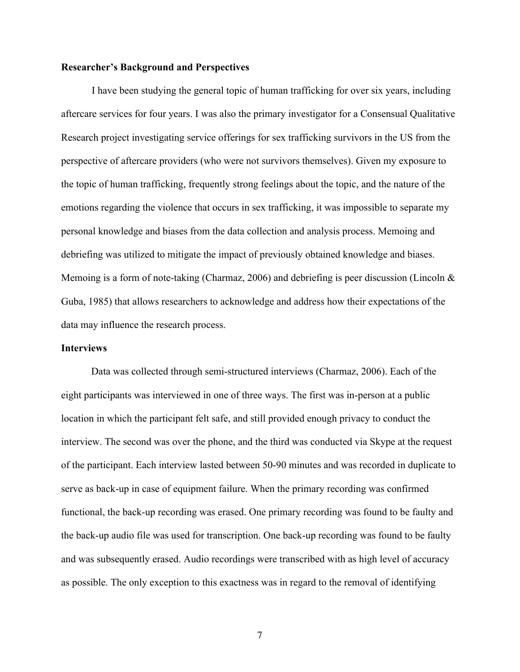### **Researcher's Background and Perspectives**

I have been studying the general topic of human trafficking for over six years, including aftercare services for four years. I was also the primary investigator for a Consensual Qualitative Research project investigating service offerings for sex trafficking survivors in the US from the perspective of aftercare providers (who were not survivors themselves). Given my exposure to the topic of human trafficking, frequently strong feelings about the topic, and the nature of the emotions regarding the violence that occurs in sex trafficking, it was impossible to separate my personal knowledge and biases from the data collection and analysis process. Memoing and debriefing was utilized to mitigate the impact of previously obtained knowledge and biases. Memoing is a form of note-taking (Charmaz, 2006) and debriefing is peer discussion (Lincoln & Guba, 1985) that allows researchers to acknowledge and address how their expectations of the data may influence the research process.

#### **Interviews**

Data was collected through semi-structured interviews (Charmaz, 2006). Each of the eight participants was interviewed in one of three ways. The first was in-person at a public location in which the participant felt safe, and still provided enough privacy to conduct the interview. The second was over the phone, and the third was conducted via Skype at the request of the participant. Each interview lasted between 50-90 minutes and was recorded in duplicate to serve as back-up in case of equipment failure. When the primary recording was confirmed functional, the back-up recording was erased. One primary recording was found to be faulty and the back-up audio file was used for transcription. One back-up recording was found to be faulty and was subsequently erased. Audio recordings were transcribed with as high level of accuracy as possible. The only exception to this exactness was in regard to the removal of identifying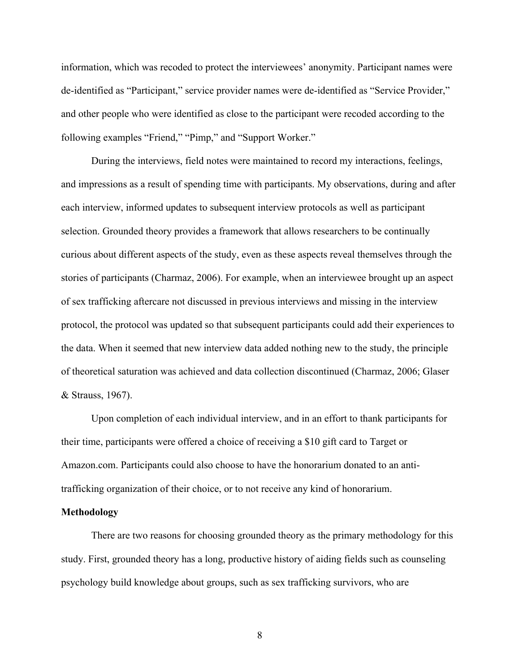information, which was recoded to protect the interviewees' anonymity. Participant names were de-identified as "Participant," service provider names were de-identified as "Service Provider," and other people who were identified as close to the participant were recoded according to the following examples "Friend," "Pimp," and "Support Worker."

During the interviews, field notes were maintained to record my interactions, feelings, and impressions as a result of spending time with participants. My observations, during and after each interview, informed updates to subsequent interview protocols as well as participant selection. Grounded theory provides a framework that allows researchers to be continually curious about different aspects of the study, even as these aspects reveal themselves through the stories of participants (Charmaz, 2006). For example, when an interviewee brought up an aspect of sex trafficking aftercare not discussed in previous interviews and missing in the interview protocol, the protocol was updated so that subsequent participants could add their experiences to the data. When it seemed that new interview data added nothing new to the study, the principle of theoretical saturation was achieved and data collection discontinued (Charmaz, 2006; Glaser & Strauss, 1967).

Upon completion of each individual interview, and in an effort to thank participants for their time, participants were offered a choice of receiving a \$10 gift card to Target or Amazon.com. Participants could also choose to have the honorarium donated to an antitrafficking organization of their choice, or to not receive any kind of honorarium.

## **Methodology**

There are two reasons for choosing grounded theory as the primary methodology for this study. First, grounded theory has a long, productive history of aiding fields such as counseling psychology build knowledge about groups, such as sex trafficking survivors, who are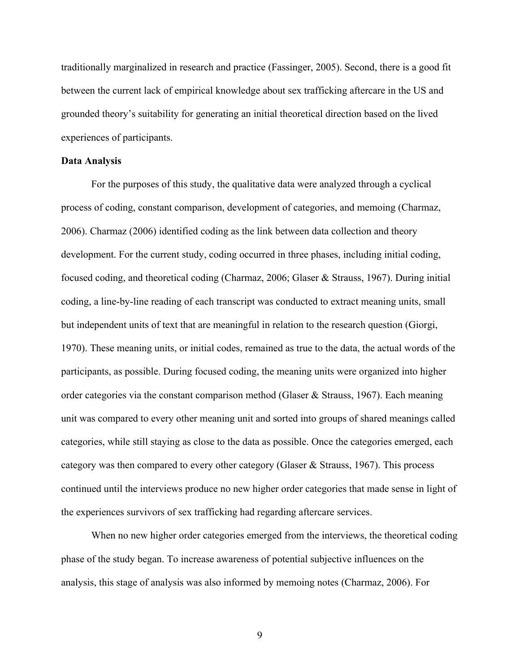traditionally marginalized in research and practice (Fassinger, 2005). Second, there is a good fit between the current lack of empirical knowledge about sex trafficking aftercare in the US and grounded theory's suitability for generating an initial theoretical direction based on the lived experiences of participants.

### **Data Analysis**

For the purposes of this study, the qualitative data were analyzed through a cyclical process of coding, constant comparison, development of categories, and memoing (Charmaz, 2006). Charmaz (2006) identified coding as the link between data collection and theory development. For the current study, coding occurred in three phases, including initial coding, focused coding, and theoretical coding (Charmaz, 2006; Glaser & Strauss, 1967). During initial coding, a line-by-line reading of each transcript was conducted to extract meaning units, small but independent units of text that are meaningful in relation to the research question (Giorgi, 1970). These meaning units, or initial codes, remained as true to the data, the actual words of the participants, as possible. During focused coding, the meaning units were organized into higher order categories via the constant comparison method (Glaser & Strauss, 1967). Each meaning unit was compared to every other meaning unit and sorted into groups of shared meanings called categories, while still staying as close to the data as possible. Once the categories emerged, each category was then compared to every other category (Glaser & Strauss, 1967). This process continued until the interviews produce no new higher order categories that made sense in light of the experiences survivors of sex trafficking had regarding aftercare services.

When no new higher order categories emerged from the interviews, the theoretical coding phase of the study began. To increase awareness of potential subjective influences on the analysis, this stage of analysis was also informed by memoing notes (Charmaz, 2006). For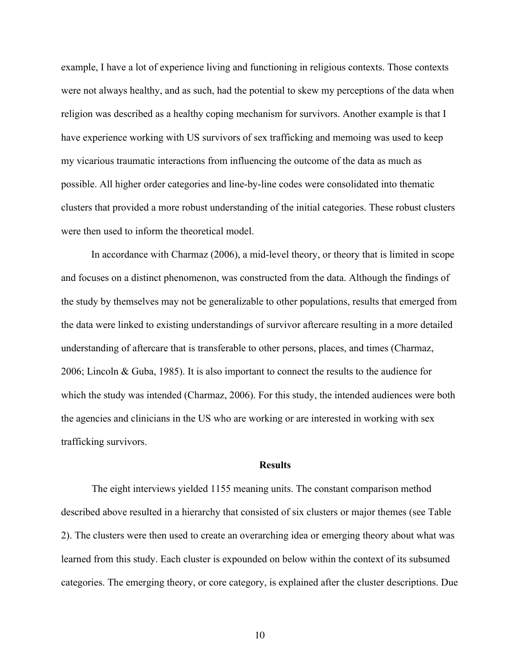example, I have a lot of experience living and functioning in religious contexts. Those contexts were not always healthy, and as such, had the potential to skew my perceptions of the data when religion was described as a healthy coping mechanism for survivors. Another example is that I have experience working with US survivors of sex trafficking and memoing was used to keep my vicarious traumatic interactions from influencing the outcome of the data as much as possible. All higher order categories and line-by-line codes were consolidated into thematic clusters that provided a more robust understanding of the initial categories. These robust clusters were then used to inform the theoretical model.

In accordance with Charmaz (2006), a mid-level theory, or theory that is limited in scope and focuses on a distinct phenomenon, was constructed from the data. Although the findings of the study by themselves may not be generalizable to other populations, results that emerged from the data were linked to existing understandings of survivor aftercare resulting in a more detailed understanding of aftercare that is transferable to other persons, places, and times (Charmaz, 2006; Lincoln & Guba, 1985). It is also important to connect the results to the audience for which the study was intended (Charmaz, 2006). For this study, the intended audiences were both the agencies and clinicians in the US who are working or are interested in working with sex trafficking survivors.

#### **Results**

The eight interviews yielded 1155 meaning units. The constant comparison method described above resulted in a hierarchy that consisted of six clusters or major themes (see Table 2). The clusters were then used to create an overarching idea or emerging theory about what was learned from this study. Each cluster is expounded on below within the context of its subsumed categories. The emerging theory, or core category, is explained after the cluster descriptions. Due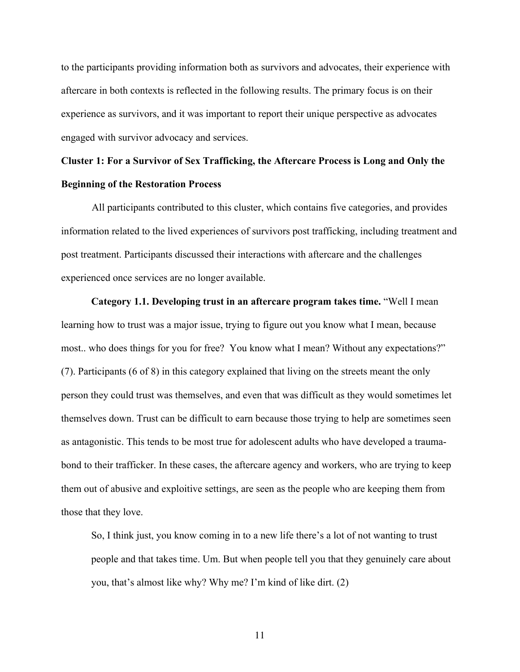to the participants providing information both as survivors and advocates, their experience with aftercare in both contexts is reflected in the following results. The primary focus is on their experience as survivors, and it was important to report their unique perspective as advocates engaged with survivor advocacy and services.

# **Cluster 1: For a Survivor of Sex Trafficking, the Aftercare Process is Long and Only the Beginning of the Restoration Process**

All participants contributed to this cluster, which contains five categories, and provides information related to the lived experiences of survivors post trafficking, including treatment and post treatment. Participants discussed their interactions with aftercare and the challenges experienced once services are no longer available.

**Category 1.1. Developing trust in an aftercare program takes time.** "Well I mean learning how to trust was a major issue, trying to figure out you know what I mean, because most.. who does things for you for free? You know what I mean? Without any expectations?" (7). Participants (6 of 8) in this category explained that living on the streets meant the only person they could trust was themselves, and even that was difficult as they would sometimes let themselves down. Trust can be difficult to earn because those trying to help are sometimes seen as antagonistic. This tends to be most true for adolescent adults who have developed a traumabond to their trafficker. In these cases, the aftercare agency and workers, who are trying to keep them out of abusive and exploitive settings, are seen as the people who are keeping them from those that they love.

So, I think just, you know coming in to a new life there's a lot of not wanting to trust people and that takes time. Um. But when people tell you that they genuinely care about you, that's almost like why? Why me? I'm kind of like dirt. (2)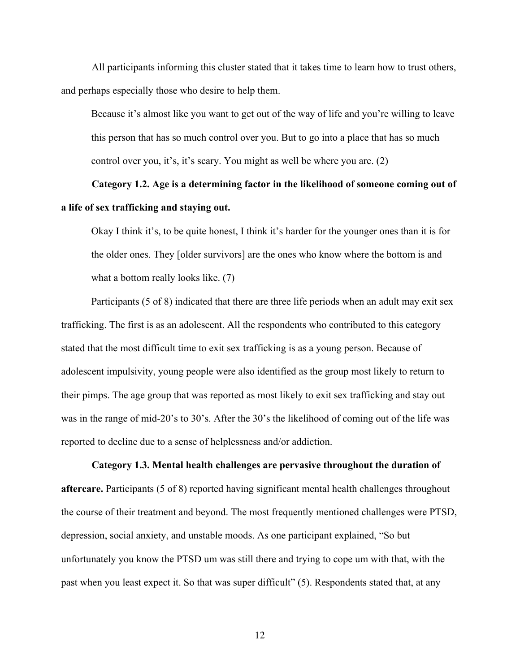All participants informing this cluster stated that it takes time to learn how to trust others, and perhaps especially those who desire to help them.

Because it's almost like you want to get out of the way of life and you're willing to leave this person that has so much control over you. But to go into a place that has so much control over you, it's, it's scary. You might as well be where you are. (2)

# **Category 1.2. Age is a determining factor in the likelihood of someone coming out of a life of sex trafficking and staying out.**

Okay I think it's, to be quite honest, I think it's harder for the younger ones than it is for the older ones. They [older survivors] are the ones who know where the bottom is and what a bottom really looks like. (7)

Participants (5 of 8) indicated that there are three life periods when an adult may exit sex trafficking. The first is as an adolescent. All the respondents who contributed to this category stated that the most difficult time to exit sex trafficking is as a young person. Because of adolescent impulsivity, young people were also identified as the group most likely to return to their pimps. The age group that was reported as most likely to exit sex trafficking and stay out was in the range of mid-20's to 30's. After the 30's the likelihood of coming out of the life was reported to decline due to a sense of helplessness and/or addiction.

**Category 1.3. Mental health challenges are pervasive throughout the duration of aftercare.** Participants (5 of 8) reported having significant mental health challenges throughout the course of their treatment and beyond. The most frequently mentioned challenges were PTSD, depression, social anxiety, and unstable moods. As one participant explained, "So but unfortunately you know the PTSD um was still there and trying to cope um with that, with the past when you least expect it. So that was super difficult" (5). Respondents stated that, at any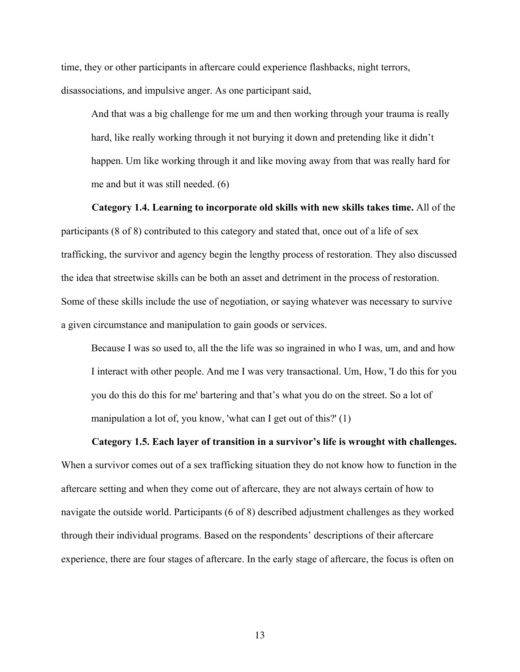time, they or other participants in aftercare could experience flashbacks, night terrors, disassociations, and impulsive anger. As one participant said,

And that was a big challenge for me um and then working through your trauma is really hard, like really working through it not burying it down and pretending like it didn't happen. Um like working through it and like moving away from that was really hard for me and but it was still needed. (6)

**Category 1.4. Learning to incorporate old skills with new skills takes time.** All of the participants (8 of 8) contributed to this category and stated that, once out of a life of sex trafficking, the survivor and agency begin the lengthy process of restoration. They also discussed the idea that streetwise skills can be both an asset and detriment in the process of restoration. Some of these skills include the use of negotiation, or saying whatever was necessary to survive a given circumstance and manipulation to gain goods or services.

Because I was so used to, all the the life was so ingrained in who I was, um, and and how I interact with other people. And me I was very transactional. Um, How, 'I do this for you you do this do this for me' bartering and that's what you do on the street. So a lot of manipulation a lot of, you know, 'what can I get out of this?' (1)

**Category 1.5. Each layer of transition in a survivor's life is wrought with challenges.**

When a survivor comes out of a sex trafficking situation they do not know how to function in the aftercare setting and when they come out of aftercare, they are not always certain of how to navigate the outside world. Participants (6 of 8) described adjustment challenges as they worked through their individual programs. Based on the respondents' descriptions of their aftercare experience, there are four stages of aftercare. In the early stage of aftercare, the focus is often on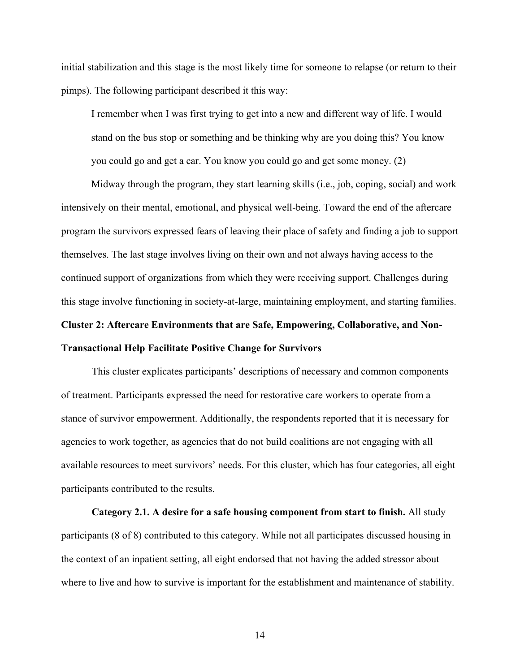initial stabilization and this stage is the most likely time for someone to relapse (or return to their pimps). The following participant described it this way:

I remember when I was first trying to get into a new and different way of life. I would stand on the bus stop or something and be thinking why are you doing this? You know you could go and get a car. You know you could go and get some money. (2)

Midway through the program, they start learning skills (i.e., job, coping, social) and work intensively on their mental, emotional, and physical well-being. Toward the end of the aftercare program the survivors expressed fears of leaving their place of safety and finding a job to support themselves. The last stage involves living on their own and not always having access to the continued support of organizations from which they were receiving support. Challenges during this stage involve functioning in society-at-large, maintaining employment, and starting families.

# **Cluster 2: Aftercare Environments that are Safe, Empowering, Collaborative, and Non-Transactional Help Facilitate Positive Change for Survivors**

This cluster explicates participants' descriptions of necessary and common components of treatment. Participants expressed the need for restorative care workers to operate from a stance of survivor empowerment. Additionally, the respondents reported that it is necessary for agencies to work together, as agencies that do not build coalitions are not engaging with all available resources to meet survivors' needs. For this cluster, which has four categories, all eight participants contributed to the results.

**Category 2.1. A desire for a safe housing component from start to finish.** All study participants (8 of 8) contributed to this category. While not all participates discussed housing in the context of an inpatient setting, all eight endorsed that not having the added stressor about where to live and how to survive is important for the establishment and maintenance of stability.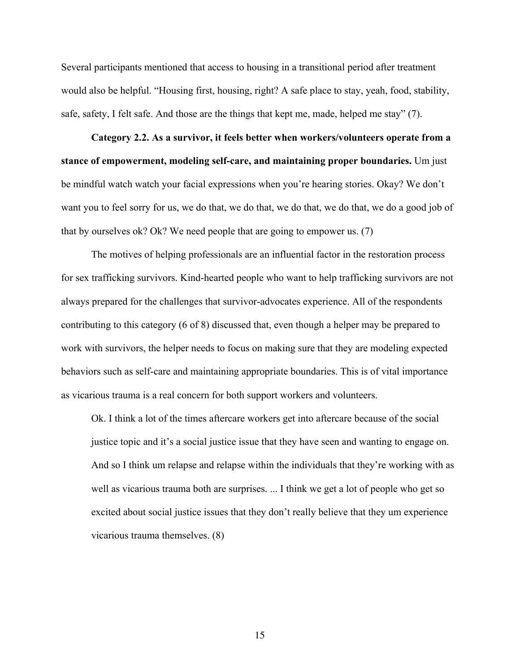Several participants mentioned that access to housing in a transitional period after treatment would also be helpful. "Housing first, housing, right? A safe place to stay, yeah, food, stability, safe, safety, I felt safe. And those are the things that kept me, made, helped me stay" (7).

**Category 2.2. As a survivor, it feels better when workers/volunteers operate from a stance of empowerment, modeling self-care, and maintaining proper boundaries.** Um just be mindful watch watch your facial expressions when you're hearing stories. Okay? We don't want you to feel sorry for us, we do that, we do that, we do that, we do that, we do a good job of that by ourselves ok? Ok? We need people that are going to empower us. (7)

The motives of helping professionals are an influential factor in the restoration process for sex trafficking survivors. Kind-hearted people who want to help trafficking survivors are not always prepared for the challenges that survivor-advocates experience. All of the respondents contributing to this category (6 of 8) discussed that, even though a helper may be prepared to work with survivors, the helper needs to focus on making sure that they are modeling expected behaviors such as self-care and maintaining appropriate boundaries. This is of vital importance as vicarious trauma is a real concern for both support workers and volunteers.

Ok. I think a lot of the times aftercare workers get into aftercare because of the social justice topic and it's a social justice issue that they have seen and wanting to engage on. And so I think um relapse and relapse within the individuals that they're working with as well as vicarious trauma both are surprises. ... I think we get a lot of people who get so excited about social justice issues that they don't really believe that they um experience vicarious trauma themselves. (8)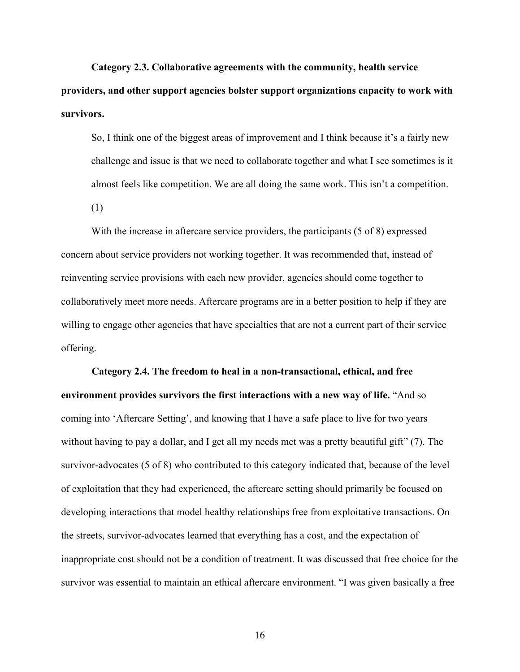**Category 2.3. Collaborative agreements with the community, health service providers, and other support agencies bolster support organizations capacity to work with survivors.**

So, I think one of the biggest areas of improvement and I think because it's a fairly new challenge and issue is that we need to collaborate together and what I see sometimes is it almost feels like competition. We are all doing the same work. This isn't a competition.

(1)

With the increase in aftercare service providers, the participants (5 of 8) expressed concern about service providers not working together. It was recommended that, instead of reinventing service provisions with each new provider, agencies should come together to collaboratively meet more needs. Aftercare programs are in a better position to help if they are willing to engage other agencies that have specialties that are not a current part of their service offering.

**Category 2.4. The freedom to heal in a non-transactional, ethical, and free environment provides survivors the first interactions with a new way of life.** "And so coming into 'Aftercare Setting', and knowing that I have a safe place to live for two years without having to pay a dollar, and I get all my needs met was a pretty beautiful gift" (7). The survivor-advocates (5 of 8) who contributed to this category indicated that, because of the level of exploitation that they had experienced, the aftercare setting should primarily be focused on developing interactions that model healthy relationships free from exploitative transactions. On the streets, survivor-advocates learned that everything has a cost, and the expectation of inappropriate cost should not be a condition of treatment. It was discussed that free choice for the survivor was essential to maintain an ethical aftercare environment. "I was given basically a free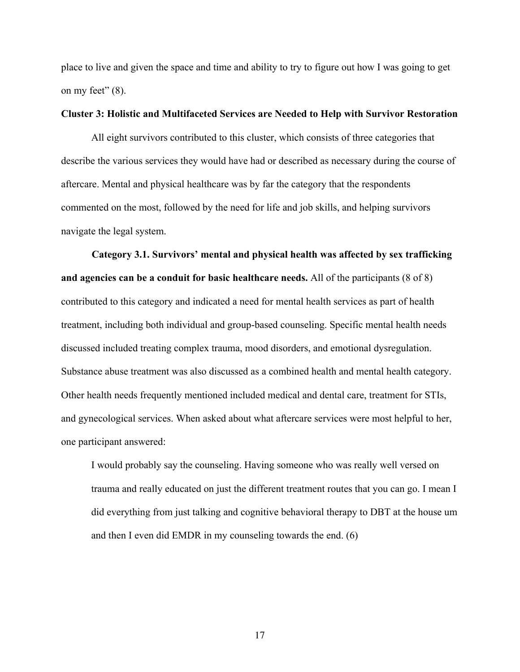place to live and given the space and time and ability to try to figure out how I was going to get on my feet"  $(8)$ .

### **Cluster 3: Holistic and Multifaceted Services are Needed to Help with Survivor Restoration**

All eight survivors contributed to this cluster, which consists of three categories that describe the various services they would have had or described as necessary during the course of aftercare. Mental and physical healthcare was by far the category that the respondents commented on the most, followed by the need for life and job skills, and helping survivors navigate the legal system.

**Category 3.1. Survivors' mental and physical health was affected by sex trafficking and agencies can be a conduit for basic healthcare needs.** All of the participants (8 of 8) contributed to this category and indicated a need for mental health services as part of health treatment, including both individual and group-based counseling. Specific mental health needs discussed included treating complex trauma, mood disorders, and emotional dysregulation. Substance abuse treatment was also discussed as a combined health and mental health category. Other health needs frequently mentioned included medical and dental care, treatment for STIs, and gynecological services. When asked about what aftercare services were most helpful to her, one participant answered:

I would probably say the counseling. Having someone who was really well versed on trauma and really educated on just the different treatment routes that you can go. I mean I did everything from just talking and cognitive behavioral therapy to DBT at the house um and then I even did EMDR in my counseling towards the end. (6)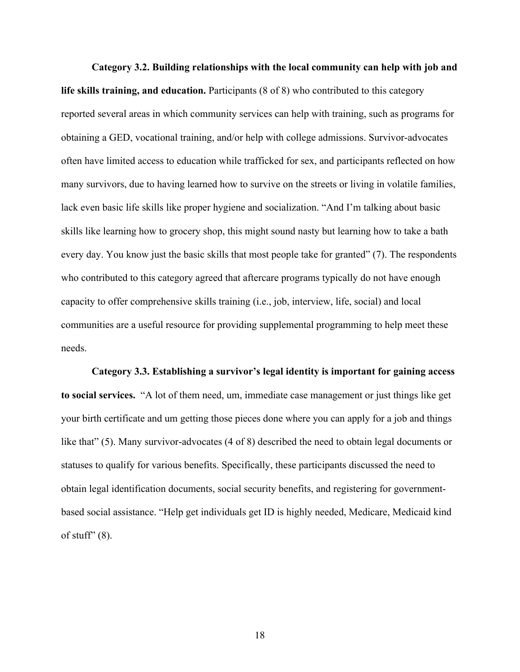**Category 3.2. Building relationships with the local community can help with job and life skills training, and education.** Participants (8 of 8) who contributed to this category reported several areas in which community services can help with training, such as programs for obtaining a GED, vocational training, and/or help with college admissions. Survivor-advocates often have limited access to education while trafficked for sex, and participants reflected on how many survivors, due to having learned how to survive on the streets or living in volatile families, lack even basic life skills like proper hygiene and socialization. "And I'm talking about basic skills like learning how to grocery shop, this might sound nasty but learning how to take a bath every day. You know just the basic skills that most people take for granted" (7). The respondents who contributed to this category agreed that aftercare programs typically do not have enough capacity to offer comprehensive skills training (i.e., job, interview, life, social) and local communities are a useful resource for providing supplemental programming to help meet these needs.

**Category 3.3. Establishing a survivor's legal identity is important for gaining access to social services.** "A lot of them need, um, immediate case management or just things like get your birth certificate and um getting those pieces done where you can apply for a job and things like that" (5). Many survivor-advocates (4 of 8) described the need to obtain legal documents or statuses to qualify for various benefits. Specifically, these participants discussed the need to obtain legal identification documents, social security benefits, and registering for governmentbased social assistance. "Help get individuals get ID is highly needed, Medicare, Medicaid kind of stuff"  $(8)$ .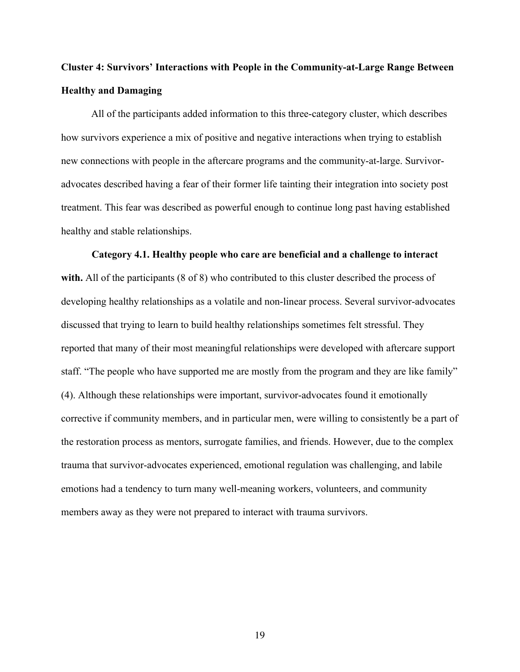# **Cluster 4: Survivors' Interactions with People in the Community-at-Large Range Between Healthy and Damaging**

All of the participants added information to this three-category cluster, which describes how survivors experience a mix of positive and negative interactions when trying to establish new connections with people in the aftercare programs and the community-at-large. Survivoradvocates described having a fear of their former life tainting their integration into society post treatment. This fear was described as powerful enough to continue long past having established healthy and stable relationships.

#### **Category 4.1. Healthy people who care are beneficial and a challenge to interact**

**with.** All of the participants (8 of 8) who contributed to this cluster described the process of developing healthy relationships as a volatile and non-linear process. Several survivor-advocates discussed that trying to learn to build healthy relationships sometimes felt stressful. They reported that many of their most meaningful relationships were developed with aftercare support staff. "The people who have supported me are mostly from the program and they are like family" (4). Although these relationships were important, survivor-advocates found it emotionally corrective if community members, and in particular men, were willing to consistently be a part of the restoration process as mentors, surrogate families, and friends. However, due to the complex trauma that survivor-advocates experienced, emotional regulation was challenging, and labile emotions had a tendency to turn many well-meaning workers, volunteers, and community members away as they were not prepared to interact with trauma survivors.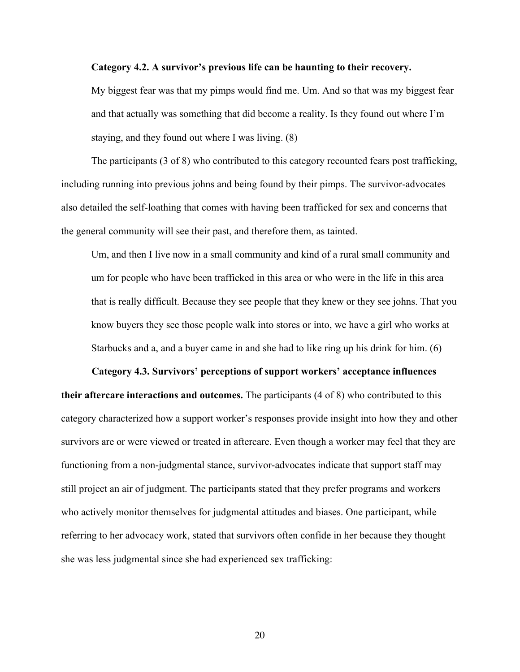#### **Category 4.2. A survivor's previous life can be haunting to their recovery.**

My biggest fear was that my pimps would find me. Um. And so that was my biggest fear and that actually was something that did become a reality. Is they found out where I'm staying, and they found out where I was living. (8)

The participants (3 of 8) who contributed to this category recounted fears post trafficking, including running into previous johns and being found by their pimps. The survivor-advocates also detailed the self-loathing that comes with having been trafficked for sex and concerns that the general community will see their past, and therefore them, as tainted.

Um, and then I live now in a small community and kind of a rural small community and um for people who have been trafficked in this area or who were in the life in this area that is really difficult. Because they see people that they knew or they see johns. That you know buyers they see those people walk into stores or into, we have a girl who works at Starbucks and a, and a buyer came in and she had to like ring up his drink for him. (6)

**Category 4.3. Survivors' perceptions of support workers' acceptance influences their aftercare interactions and outcomes.** The participants (4 of 8) who contributed to this category characterized how a support worker's responses provide insight into how they and other survivors are or were viewed or treated in aftercare. Even though a worker may feel that they are functioning from a non-judgmental stance, survivor-advocates indicate that support staff may still project an air of judgment. The participants stated that they prefer programs and workers who actively monitor themselves for judgmental attitudes and biases. One participant, while referring to her advocacy work, stated that survivors often confide in her because they thought she was less judgmental since she had experienced sex trafficking: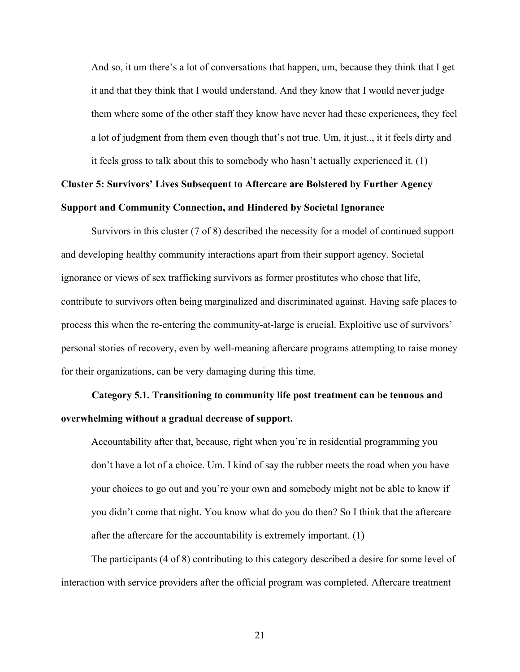And so, it um there's a lot of conversations that happen, um, because they think that I get it and that they think that I would understand. And they know that I would never judge them where some of the other staff they know have never had these experiences, they feel a lot of judgment from them even though that's not true. Um, it just.., it it feels dirty and it feels gross to talk about this to somebody who hasn't actually experienced it. (1)

# **Cluster 5: Survivors' Lives Subsequent to Aftercare are Bolstered by Further Agency Support and Community Connection, and Hindered by Societal Ignorance**

Survivors in this cluster (7 of 8) described the necessity for a model of continued support and developing healthy community interactions apart from their support agency. Societal ignorance or views of sex trafficking survivors as former prostitutes who chose that life, contribute to survivors often being marginalized and discriminated against. Having safe places to process this when the re-entering the community-at-large is crucial. Exploitive use of survivors' personal stories of recovery, even by well-meaning aftercare programs attempting to raise money for their organizations, can be very damaging during this time.

# **Category 5.1. Transitioning to community life post treatment can be tenuous and overwhelming without a gradual decrease of support.**

Accountability after that, because, right when you're in residential programming you don't have a lot of a choice. Um. I kind of say the rubber meets the road when you have your choices to go out and you're your own and somebody might not be able to know if you didn't come that night. You know what do you do then? So I think that the aftercare after the aftercare for the accountability is extremely important. (1)

The participants (4 of 8) contributing to this category described a desire for some level of interaction with service providers after the official program was completed. Aftercare treatment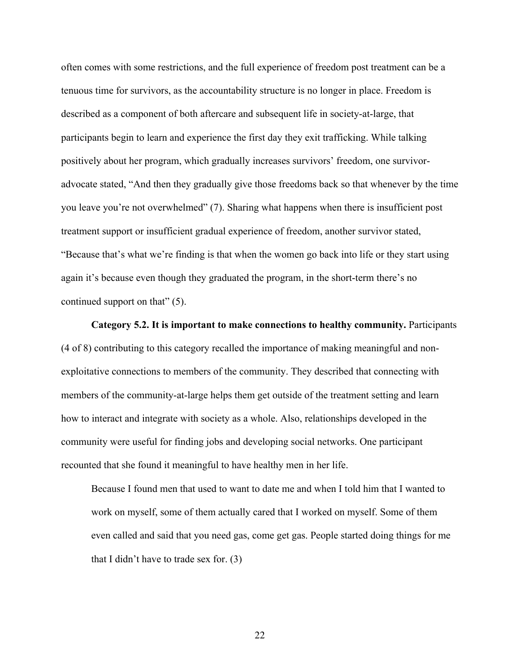often comes with some restrictions, and the full experience of freedom post treatment can be a tenuous time for survivors, as the accountability structure is no longer in place. Freedom is described as a component of both aftercare and subsequent life in society-at-large, that participants begin to learn and experience the first day they exit trafficking. While talking positively about her program, which gradually increases survivors' freedom, one survivoradvocate stated, "And then they gradually give those freedoms back so that whenever by the time you leave you're not overwhelmed" (7). Sharing what happens when there is insufficient post treatment support or insufficient gradual experience of freedom, another survivor stated, "Because that's what we're finding is that when the women go back into life or they start using again it's because even though they graduated the program, in the short-term there's no continued support on that" (5).

**Category 5.2. It is important to make connections to healthy community.** Participants (4 of 8) contributing to this category recalled the importance of making meaningful and nonexploitative connections to members of the community. They described that connecting with members of the community-at-large helps them get outside of the treatment setting and learn how to interact and integrate with society as a whole. Also, relationships developed in the community were useful for finding jobs and developing social networks. One participant recounted that she found it meaningful to have healthy men in her life.

Because I found men that used to want to date me and when I told him that I wanted to work on myself, some of them actually cared that I worked on myself. Some of them even called and said that you need gas, come get gas. People started doing things for me that I didn't have to trade sex for. (3)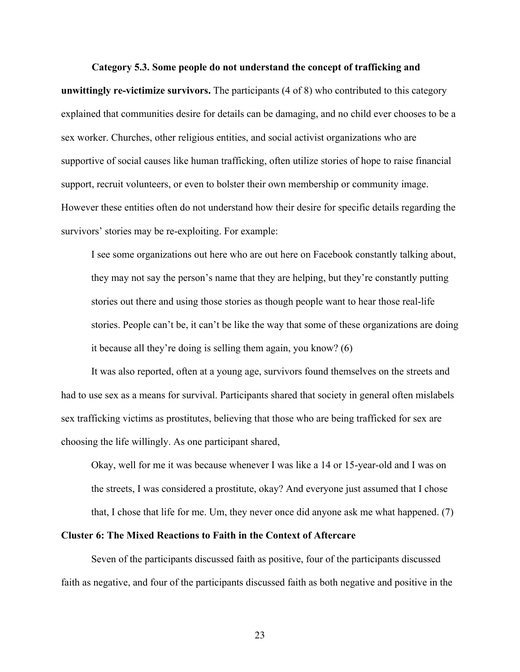#### **Category 5.3. Some people do not understand the concept of trafficking and**

**unwittingly re-victimize survivors.** The participants (4 of 8) who contributed to this category explained that communities desire for details can be damaging, and no child ever chooses to be a sex worker. Churches, other religious entities, and social activist organizations who are supportive of social causes like human trafficking, often utilize stories of hope to raise financial support, recruit volunteers, or even to bolster their own membership or community image. However these entities often do not understand how their desire for specific details regarding the survivors' stories may be re-exploiting. For example:

I see some organizations out here who are out here on Facebook constantly talking about, they may not say the person's name that they are helping, but they're constantly putting stories out there and using those stories as though people want to hear those real-life stories. People can't be, it can't be like the way that some of these organizations are doing it because all they're doing is selling them again, you know? (6)

It was also reported, often at a young age, survivors found themselves on the streets and had to use sex as a means for survival. Participants shared that society in general often mislabels sex trafficking victims as prostitutes, believing that those who are being trafficked for sex are choosing the life willingly. As one participant shared,

Okay, well for me it was because whenever I was like a 14 or 15-year-old and I was on the streets, I was considered a prostitute, okay? And everyone just assumed that I chose that, I chose that life for me. Um, they never once did anyone ask me what happened. (7)

# **Cluster 6: The Mixed Reactions to Faith in the Context of Aftercare**

Seven of the participants discussed faith as positive, four of the participants discussed faith as negative, and four of the participants discussed faith as both negative and positive in the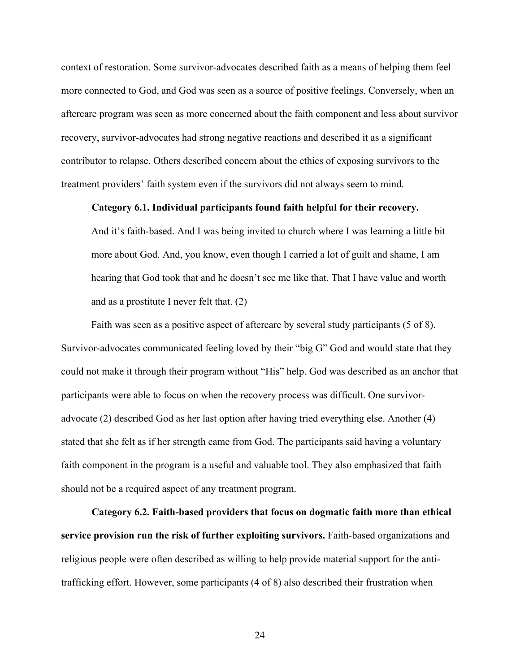context of restoration. Some survivor-advocates described faith as a means of helping them feel more connected to God, and God was seen as a source of positive feelings. Conversely, when an aftercare program was seen as more concerned about the faith component and less about survivor recovery, survivor-advocates had strong negative reactions and described it as a significant contributor to relapse. Others described concern about the ethics of exposing survivors to the treatment providers' faith system even if the survivors did not always seem to mind.

# **Category 6.1. Individual participants found faith helpful for their recovery.**

And it's faith-based. And I was being invited to church where I was learning a little bit more about God. And, you know, even though I carried a lot of guilt and shame, I am hearing that God took that and he doesn't see me like that. That I have value and worth and as a prostitute I never felt that. (2)

Faith was seen as a positive aspect of aftercare by several study participants (5 of 8). Survivor-advocates communicated feeling loved by their "big G" God and would state that they could not make it through their program without "His" help. God was described as an anchor that participants were able to focus on when the recovery process was difficult. One survivoradvocate (2) described God as her last option after having tried everything else. Another (4) stated that she felt as if her strength came from God. The participants said having a voluntary faith component in the program is a useful and valuable tool. They also emphasized that faith should not be a required aspect of any treatment program.

**Category 6.2. Faith-based providers that focus on dogmatic faith more than ethical service provision run the risk of further exploiting survivors.** Faith-based organizations and religious people were often described as willing to help provide material support for the antitrafficking effort. However, some participants (4 of 8) also described their frustration when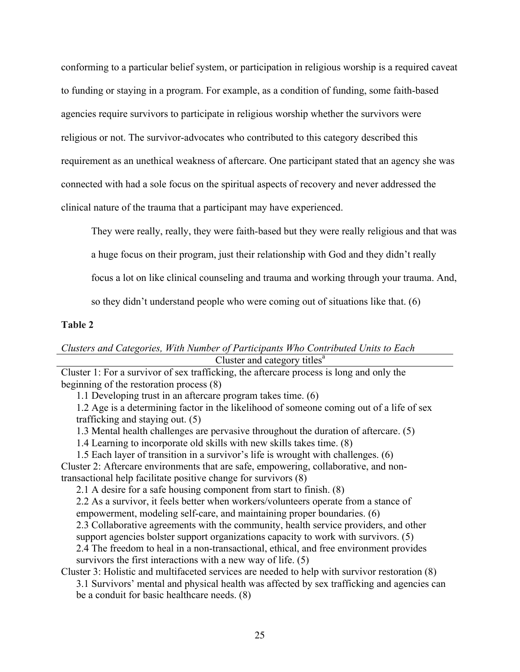conforming to a particular belief system, or participation in religious worship is a required caveat to funding or staying in a program. For example, as a condition of funding, some faith-based agencies require survivors to participate in religious worship whether the survivors were religious or not. The survivor-advocates who contributed to this category described this requirement as an unethical weakness of aftercare. One participant stated that an agency she was connected with had a sole focus on the spiritual aspects of recovery and never addressed the clinical nature of the trauma that a participant may have experienced.

They were really, really, they were faith-based but they were really religious and that was

a huge focus on their program, just their relationship with God and they didn't really

focus a lot on like clinical counseling and trauma and working through your trauma. And,

so they didn't understand people who were coming out of situations like that. (6)

# **Table 2**

# *Clusters and Categories, With Number of Participants Who Contributed Units to Each* Cluster and category titles<sup>a</sup>

Cluster 1: For a survivor of sex trafficking, the aftercare process is long and only the beginning of the restoration process (8)

1.1 Developing trust in an aftercare program takes time. (6)

1.2 Age is a determining factor in the likelihood of someone coming out of a life of sex trafficking and staying out. (5)

1.3 Mental health challenges are pervasive throughout the duration of aftercare. (5)

1.4 Learning to incorporate old skills with new skills takes time. (8)

1.5 Each layer of transition in a survivor's life is wrought with challenges. (6) Cluster 2: Aftercare environments that are safe, empowering, collaborative, and nontransactional help facilitate positive change for survivors (8)

2.1 A desire for a safe housing component from start to finish. (8)

2.2 As a survivor, it feels better when workers/volunteers operate from a stance of empowerment, modeling self-care, and maintaining proper boundaries. (6) 2.3 Collaborative agreements with the community, health service providers, and other support agencies bolster support organizations capacity to work with survivors. (5) 2.4 The freedom to heal in a non-transactional, ethical, and free environment provides survivors the first interactions with a new way of life. (5)

Cluster 3: Holistic and multifaceted services are needed to help with survivor restoration (8)

3.1 Survivors' mental and physical health was affected by sex trafficking and agencies can be a conduit for basic healthcare needs. (8)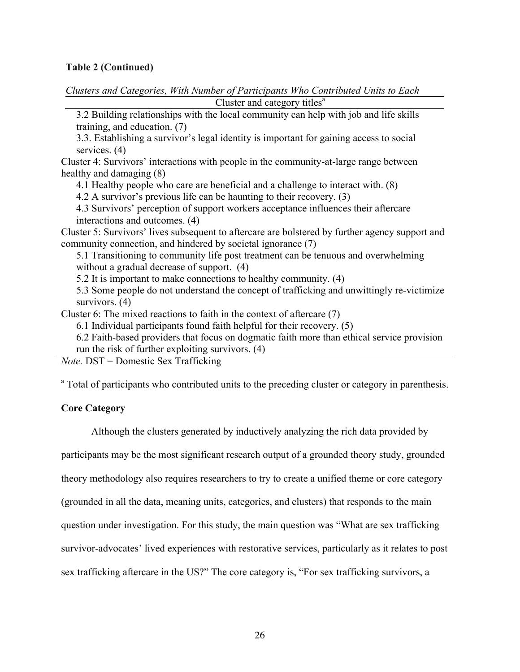# **Table 2 (Continued)**

*Clusters and Categories, With Number of Participants Who Contributed Units to Each* Cluster and category titles $a$ 

3.2 Building relationships with the local community can help with job and life skills training, and education. (7)

3.3. Establishing a survivor's legal identity is important for gaining access to social services. (4)

Cluster 4: Survivors' interactions with people in the community-at-large range between healthy and damaging (8)

4.1 Healthy people who care are beneficial and a challenge to interact with. (8)

4.2 A survivor's previous life can be haunting to their recovery. (3)

4.3 Survivors' perception of support workers acceptance influences their aftercare interactions and outcomes. (4)

Cluster 5: Survivors' lives subsequent to aftercare are bolstered by further agency support and community connection, and hindered by societal ignorance (7)

5.1 Transitioning to community life post treatment can be tenuous and overwhelming without a gradual decrease of support. (4)

5.2 It is important to make connections to healthy community. (4)

5.3 Some people do not understand the concept of trafficking and unwittingly re-victimize survivors. (4)

Cluster 6: The mixed reactions to faith in the context of aftercare (7)

6.1 Individual participants found faith helpful for their recovery. (5)

6.2 Faith-based providers that focus on dogmatic faith more than ethical service provision run the risk of further exploiting survivors. (4)

*Note.* DST = Domestic Sex Trafficking

<sup>a</sup> Total of participants who contributed units to the preceding cluster or category in parenthesis.

# **Core Category**

Although the clusters generated by inductively analyzing the rich data provided by

participants may be the most significant research output of a grounded theory study, grounded

theory methodology also requires researchers to try to create a unified theme or core category

(grounded in all the data, meaning units, categories, and clusters) that responds to the main

question under investigation. For this study, the main question was "What are sex trafficking

survivor-advocates' lived experiences with restorative services, particularly as it relates to post

sex trafficking aftercare in the US?" The core category is, "For sex trafficking survivors, a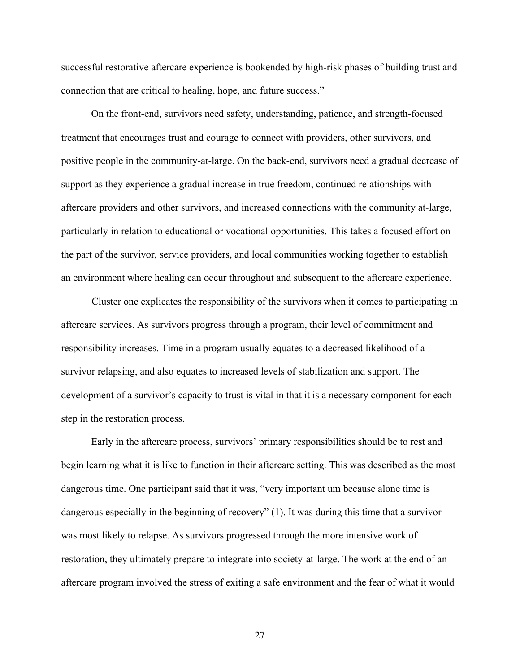successful restorative aftercare experience is bookended by high-risk phases of building trust and connection that are critical to healing, hope, and future success."

On the front-end, survivors need safety, understanding, patience, and strength-focused treatment that encourages trust and courage to connect with providers, other survivors, and positive people in the community-at-large. On the back-end, survivors need a gradual decrease of support as they experience a gradual increase in true freedom, continued relationships with aftercare providers and other survivors, and increased connections with the community at-large, particularly in relation to educational or vocational opportunities. This takes a focused effort on the part of the survivor, service providers, and local communities working together to establish an environment where healing can occur throughout and subsequent to the aftercare experience.

Cluster one explicates the responsibility of the survivors when it comes to participating in aftercare services. As survivors progress through a program, their level of commitment and responsibility increases. Time in a program usually equates to a decreased likelihood of a survivor relapsing, and also equates to increased levels of stabilization and support. The development of a survivor's capacity to trust is vital in that it is a necessary component for each step in the restoration process.

Early in the aftercare process, survivors' primary responsibilities should be to rest and begin learning what it is like to function in their aftercare setting. This was described as the most dangerous time. One participant said that it was, "very important um because alone time is dangerous especially in the beginning of recovery" (1). It was during this time that a survivor was most likely to relapse. As survivors progressed through the more intensive work of restoration, they ultimately prepare to integrate into society-at-large. The work at the end of an aftercare program involved the stress of exiting a safe environment and the fear of what it would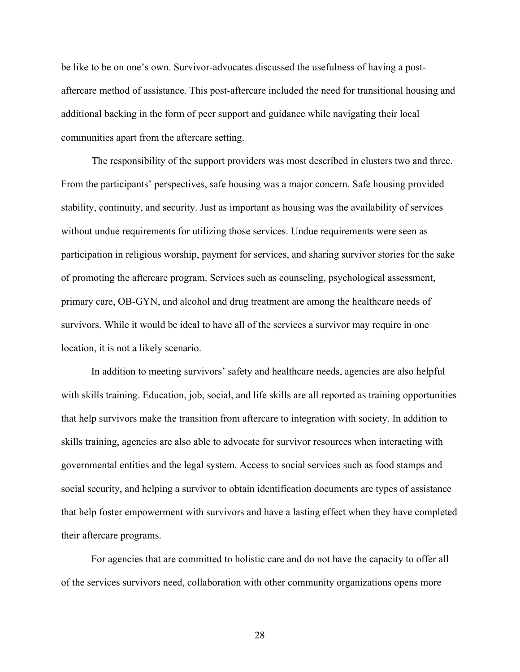be like to be on one's own. Survivor-advocates discussed the usefulness of having a postaftercare method of assistance. This post-aftercare included the need for transitional housing and additional backing in the form of peer support and guidance while navigating their local communities apart from the aftercare setting.

The responsibility of the support providers was most described in clusters two and three. From the participants' perspectives, safe housing was a major concern. Safe housing provided stability, continuity, and security. Just as important as housing was the availability of services without undue requirements for utilizing those services. Undue requirements were seen as participation in religious worship, payment for services, and sharing survivor stories for the sake of promoting the aftercare program. Services such as counseling, psychological assessment, primary care, OB-GYN, and alcohol and drug treatment are among the healthcare needs of survivors. While it would be ideal to have all of the services a survivor may require in one location, it is not a likely scenario.

In addition to meeting survivors' safety and healthcare needs, agencies are also helpful with skills training. Education, job, social, and life skills are all reported as training opportunities that help survivors make the transition from aftercare to integration with society. In addition to skills training, agencies are also able to advocate for survivor resources when interacting with governmental entities and the legal system. Access to social services such as food stamps and social security, and helping a survivor to obtain identification documents are types of assistance that help foster empowerment with survivors and have a lasting effect when they have completed their aftercare programs.

For agencies that are committed to holistic care and do not have the capacity to offer all of the services survivors need, collaboration with other community organizations opens more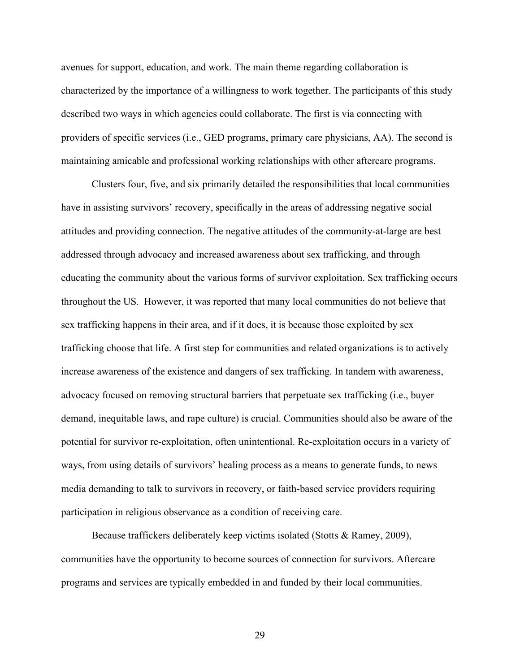avenues for support, education, and work. The main theme regarding collaboration is characterized by the importance of a willingness to work together. The participants of this study described two ways in which agencies could collaborate. The first is via connecting with providers of specific services (i.e., GED programs, primary care physicians, AA). The second is maintaining amicable and professional working relationships with other aftercare programs.

Clusters four, five, and six primarily detailed the responsibilities that local communities have in assisting survivors' recovery, specifically in the areas of addressing negative social attitudes and providing connection. The negative attitudes of the community-at-large are best addressed through advocacy and increased awareness about sex trafficking, and through educating the community about the various forms of survivor exploitation. Sex trafficking occurs throughout the US. However, it was reported that many local communities do not believe that sex trafficking happens in their area, and if it does, it is because those exploited by sex trafficking choose that life. A first step for communities and related organizations is to actively increase awareness of the existence and dangers of sex trafficking. In tandem with awareness, advocacy focused on removing structural barriers that perpetuate sex trafficking (i.e., buyer demand, inequitable laws, and rape culture) is crucial. Communities should also be aware of the potential for survivor re-exploitation, often unintentional. Re-exploitation occurs in a variety of ways, from using details of survivors' healing process as a means to generate funds, to news media demanding to talk to survivors in recovery, or faith-based service providers requiring participation in religious observance as a condition of receiving care.

Because traffickers deliberately keep victims isolated (Stotts & Ramey, 2009), communities have the opportunity to become sources of connection for survivors. Aftercare programs and services are typically embedded in and funded by their local communities.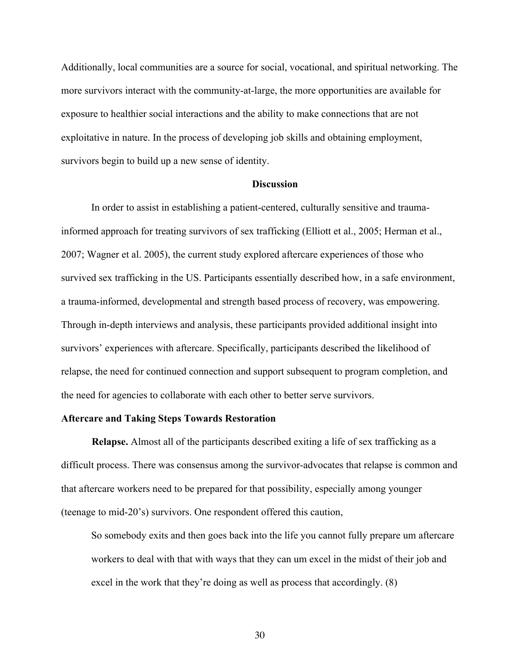Additionally, local communities are a source for social, vocational, and spiritual networking. The more survivors interact with the community-at-large, the more opportunities are available for exposure to healthier social interactions and the ability to make connections that are not exploitative in nature. In the process of developing job skills and obtaining employment, survivors begin to build up a new sense of identity.

## **Discussion**

In order to assist in establishing a patient-centered, culturally sensitive and traumainformed approach for treating survivors of sex trafficking (Elliott et al., 2005; Herman et al., 2007; Wagner et al. 2005), the current study explored aftercare experiences of those who survived sex trafficking in the US. Participants essentially described how, in a safe environment, a trauma-informed, developmental and strength based process of recovery, was empowering. Through in-depth interviews and analysis, these participants provided additional insight into survivors' experiences with aftercare. Specifically, participants described the likelihood of relapse, the need for continued connection and support subsequent to program completion, and the need for agencies to collaborate with each other to better serve survivors.

## **Aftercare and Taking Steps Towards Restoration**

**Relapse.** Almost all of the participants described exiting a life of sex trafficking as a difficult process. There was consensus among the survivor-advocates that relapse is common and that aftercare workers need to be prepared for that possibility, especially among younger (teenage to mid-20's) survivors. One respondent offered this caution,

So somebody exits and then goes back into the life you cannot fully prepare um aftercare workers to deal with that with ways that they can um excel in the midst of their job and excel in the work that they're doing as well as process that accordingly. (8)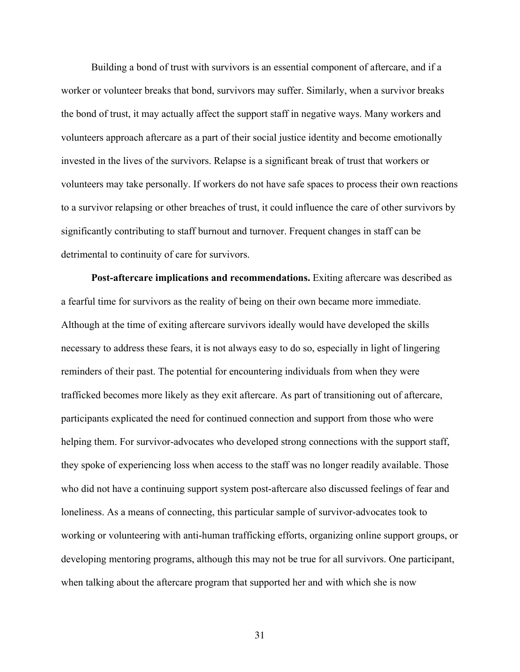Building a bond of trust with survivors is an essential component of aftercare, and if a worker or volunteer breaks that bond, survivors may suffer. Similarly, when a survivor breaks the bond of trust, it may actually affect the support staff in negative ways. Many workers and volunteers approach aftercare as a part of their social justice identity and become emotionally invested in the lives of the survivors. Relapse is a significant break of trust that workers or volunteers may take personally. If workers do not have safe spaces to process their own reactions to a survivor relapsing or other breaches of trust, it could influence the care of other survivors by significantly contributing to staff burnout and turnover. Frequent changes in staff can be detrimental to continuity of care for survivors.

**Post-aftercare implications and recommendations.** Exiting aftercare was described as a fearful time for survivors as the reality of being on their own became more immediate. Although at the time of exiting aftercare survivors ideally would have developed the skills necessary to address these fears, it is not always easy to do so, especially in light of lingering reminders of their past. The potential for encountering individuals from when they were trafficked becomes more likely as they exit aftercare. As part of transitioning out of aftercare, participants explicated the need for continued connection and support from those who were helping them. For survivor-advocates who developed strong connections with the support staff, they spoke of experiencing loss when access to the staff was no longer readily available. Those who did not have a continuing support system post-aftercare also discussed feelings of fear and loneliness. As a means of connecting, this particular sample of survivor-advocates took to working or volunteering with anti-human trafficking efforts, organizing online support groups, or developing mentoring programs, although this may not be true for all survivors. One participant, when talking about the aftercare program that supported her and with which she is now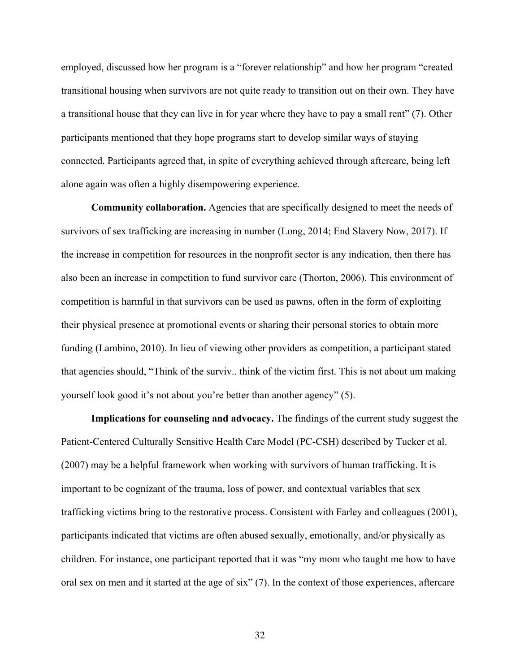employed, discussed how her program is a "forever relationship" and how her program "created transitional housing when survivors are not quite ready to transition out on their own. They have a transitional house that they can live in for year where they have to pay a small rent" (7). Other participants mentioned that they hope programs start to develop similar ways of staying connected. Participants agreed that, in spite of everything achieved through aftercare, being left alone again was often a highly disempowering experience.

**Community collaboration.** Agencies that are specifically designed to meet the needs of survivors of sex trafficking are increasing in number (Long, 2014; End Slavery Now, 2017). If the increase in competition for resources in the nonprofit sector is any indication, then there has also been an increase in competition to fund survivor care (Thorton, 2006). This environment of competition is harmful in that survivors can be used as pawns, often in the form of exploiting their physical presence at promotional events or sharing their personal stories to obtain more funding (Lambino, 2010). In lieu of viewing other providers as competition, a participant stated that agencies should, "Think of the surviv.. think of the victim first. This is not about um making yourself look good it's not about you're better than another agency" (5).

**Implications for counseling and advocacy.** The findings of the current study suggest the Patient-Centered Culturally Sensitive Health Care Model (PC-CSH) described by Tucker et al. (2007) may be a helpful framework when working with survivors of human trafficking. It is important to be cognizant of the trauma, loss of power, and contextual variables that sex trafficking victims bring to the restorative process. Consistent with Farley and colleagues (2001), participants indicated that victims are often abused sexually, emotionally, and/or physically as children. For instance, one participant reported that it was "my mom who taught me how to have oral sex on men and it started at the age of six" (7). In the context of those experiences, aftercare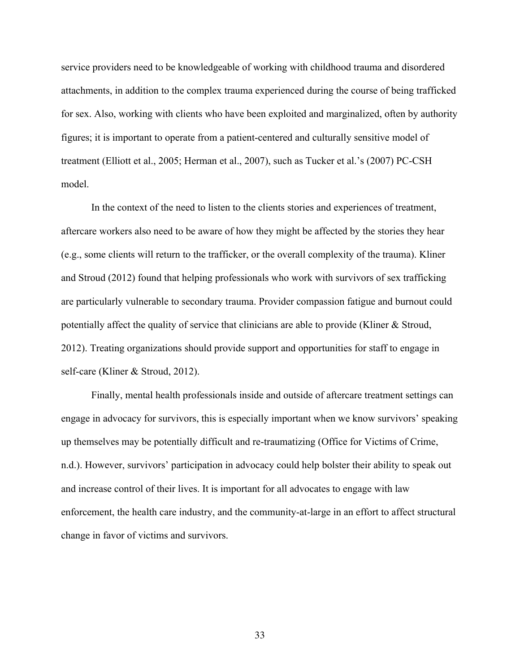service providers need to be knowledgeable of working with childhood trauma and disordered attachments, in addition to the complex trauma experienced during the course of being trafficked for sex. Also, working with clients who have been exploited and marginalized, often by authority figures; it is important to operate from a patient-centered and culturally sensitive model of treatment (Elliott et al., 2005; Herman et al., 2007), such as Tucker et al.'s (2007) PC-CSH model.

In the context of the need to listen to the clients stories and experiences of treatment, aftercare workers also need to be aware of how they might be affected by the stories they hear (e.g., some clients will return to the trafficker, or the overall complexity of the trauma). Kliner and Stroud (2012) found that helping professionals who work with survivors of sex trafficking are particularly vulnerable to secondary trauma. Provider compassion fatigue and burnout could potentially affect the quality of service that clinicians are able to provide (Kliner & Stroud, 2012). Treating organizations should provide support and opportunities for staff to engage in self-care (Kliner & Stroud, 2012).

Finally, mental health professionals inside and outside of aftercare treatment settings can engage in advocacy for survivors, this is especially important when we know survivors' speaking up themselves may be potentially difficult and re-traumatizing (Office for Victims of Crime, n.d.). However, survivors' participation in advocacy could help bolster their ability to speak out and increase control of their lives. It is important for all advocates to engage with law enforcement, the health care industry, and the community-at-large in an effort to affect structural change in favor of victims and survivors.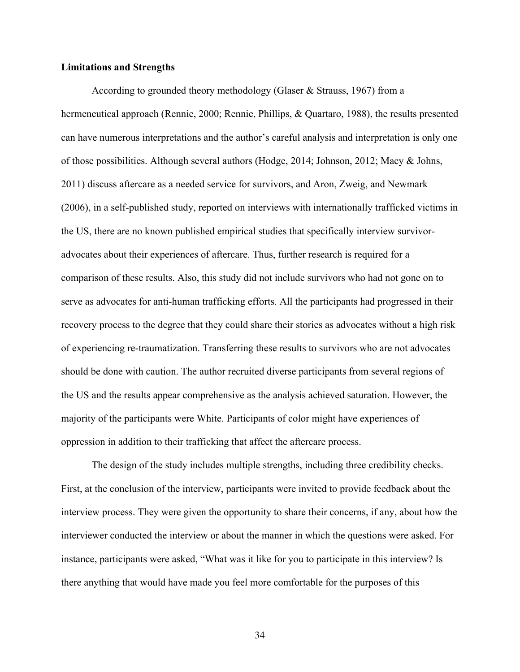#### **Limitations and Strengths**

According to grounded theory methodology (Glaser & Strauss, 1967) from a hermeneutical approach (Rennie, 2000; Rennie, Phillips, & Quartaro, 1988), the results presented can have numerous interpretations and the author's careful analysis and interpretation is only one of those possibilities. Although several authors (Hodge, 2014; Johnson, 2012; Macy & Johns, 2011) discuss aftercare as a needed service for survivors, and Aron, Zweig, and Newmark (2006), in a self-published study, reported on interviews with internationally trafficked victims in the US, there are no known published empirical studies that specifically interview survivoradvocates about their experiences of aftercare. Thus, further research is required for a comparison of these results. Also, this study did not include survivors who had not gone on to serve as advocates for anti-human trafficking efforts. All the participants had progressed in their recovery process to the degree that they could share their stories as advocates without a high risk of experiencing re-traumatization. Transferring these results to survivors who are not advocates should be done with caution. The author recruited diverse participants from several regions of the US and the results appear comprehensive as the analysis achieved saturation. However, the majority of the participants were White. Participants of color might have experiences of oppression in addition to their trafficking that affect the aftercare process.

The design of the study includes multiple strengths, including three credibility checks. First, at the conclusion of the interview, participants were invited to provide feedback about the interview process. They were given the opportunity to share their concerns, if any, about how the interviewer conducted the interview or about the manner in which the questions were asked. For instance, participants were asked, "What was it like for you to participate in this interview? Is there anything that would have made you feel more comfortable for the purposes of this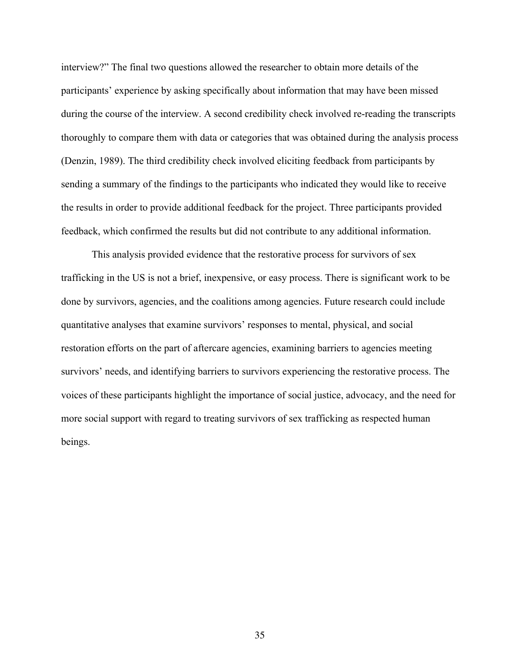interview?" The final two questions allowed the researcher to obtain more details of the participants' experience by asking specifically about information that may have been missed during the course of the interview. A second credibility check involved re-reading the transcripts thoroughly to compare them with data or categories that was obtained during the analysis process (Denzin, 1989). The third credibility check involved eliciting feedback from participants by sending a summary of the findings to the participants who indicated they would like to receive the results in order to provide additional feedback for the project. Three participants provided feedback, which confirmed the results but did not contribute to any additional information.

This analysis provided evidence that the restorative process for survivors of sex trafficking in the US is not a brief, inexpensive, or easy process. There is significant work to be done by survivors, agencies, and the coalitions among agencies. Future research could include quantitative analyses that examine survivors' responses to mental, physical, and social restoration efforts on the part of aftercare agencies, examining barriers to agencies meeting survivors' needs, and identifying barriers to survivors experiencing the restorative process. The voices of these participants highlight the importance of social justice, advocacy, and the need for more social support with regard to treating survivors of sex trafficking as respected human beings.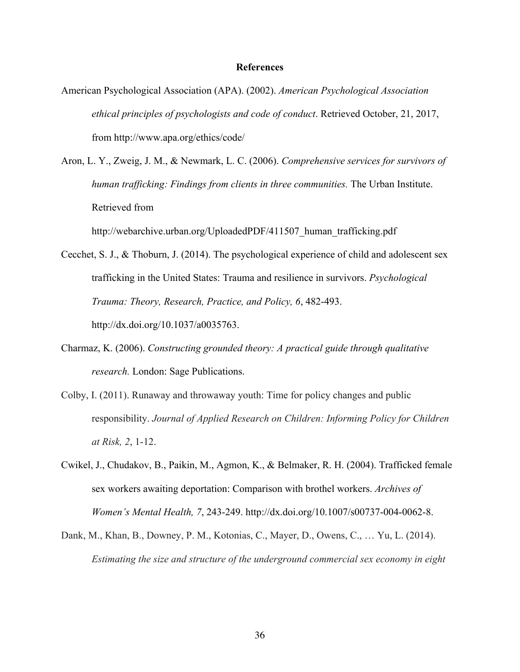#### **References**

- American Psychological Association (APA). (2002). *American Psychological Association ethical principles of psychologists and code of conduct*. Retrieved October, 21, 2017, from http://www.apa.org/ethics/code/
- Aron, L. Y., Zweig, J. M., & Newmark, L. C. (2006). *Comprehensive services for survivors of human trafficking: Findings from clients in three communities.* The Urban Institute. Retrieved from

http://webarchive.urban.org/UploadedPDF/411507 human trafficking.pdf

- Cecchet, S. J., & Thoburn, J. (2014). The psychological experience of child and adolescent sex trafficking in the United States: Trauma and resilience in survivors. *Psychological Trauma: Theory, Research, Practice, and Policy, 6*, 482-493. http://dx.doi.org/10.1037/a0035763.
- Charmaz, K. (2006). *Constructing grounded theory: A practical guide through qualitative research.* London: Sage Publications.
- Colby, I. (2011). Runaway and throwaway youth: Time for policy changes and public responsibility. *Journal of Applied Research on Children: Informing Policy for Children at Risk, 2*, 1-12.
- Cwikel, J., Chudakov, B., Paikin, M., Agmon, K., & Belmaker, R. H. (2004). Trafficked female sex workers awaiting deportation: Comparison with brothel workers. *Archives of Women's Mental Health, 7*, 243-249. http://dx.doi.org/10.1007/s00737-004-0062-8.
- Dank, M., Khan, B., Downey, P. M., Kotonias, C., Mayer, D., Owens, C., … Yu, L. (2014). *Estimating the size and structure of the underground commercial sex economy in eight*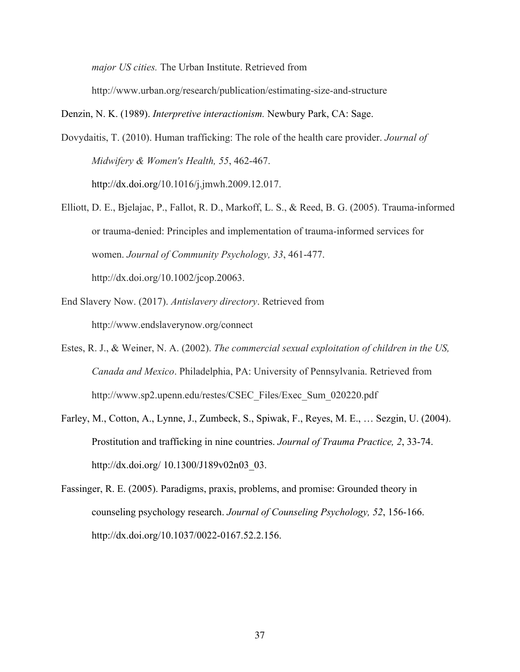*major US cities.* The Urban Institute. Retrieved from

http://www.urban.org/research/publication/estimating-size-and-structure

Denzin, N. K. (1989). *Interpretive interactionism.* Newbury Park, CA: Sage.

Dovydaitis, T. (2010). Human trafficking: The role of the health care provider. *Journal of Midwifery & Women's Health, 55*, 462-467.

http://dx.doi.org/10.1016/j.jmwh.2009.12.017.

- Elliott, D. E., Bjelajac, P., Fallot, R. D., Markoff, L. S., & Reed, B. G. (2005). Trauma-informed or trauma-denied: Principles and implementation of trauma-informed services for women. *Journal of Community Psychology, 33*, 461-477. http://dx.doi.org/10.1002/jcop.20063.
- End Slavery Now. (2017). *Antislavery directory*. Retrieved from http://www.endslaverynow.org/connect
- Estes, R. J., & Weiner, N. A. (2002). *The commercial sexual exploitation of children in the US, Canada and Mexico*. Philadelphia, PA: University of Pennsylvania. Retrieved from http://www.sp2.upenn.edu/restes/CSEC\_Files/Exec\_Sum\_020220.pdf
- Farley, M., Cotton, A., Lynne, J., Zumbeck, S., Spiwak, F., Reyes, M. E., … Sezgin, U. (2004). Prostitution and trafficking in nine countries. *Journal of Trauma Practice, 2*, 33-74. http://dx.doi.org/ 10.1300/J189v02n03\_03.
- Fassinger, R. E. (2005). Paradigms, praxis, problems, and promise: Grounded theory in counseling psychology research. *Journal of Counseling Psychology, 52*, 156-166. http://dx.doi.org/10.1037/0022-0167.52.2.156.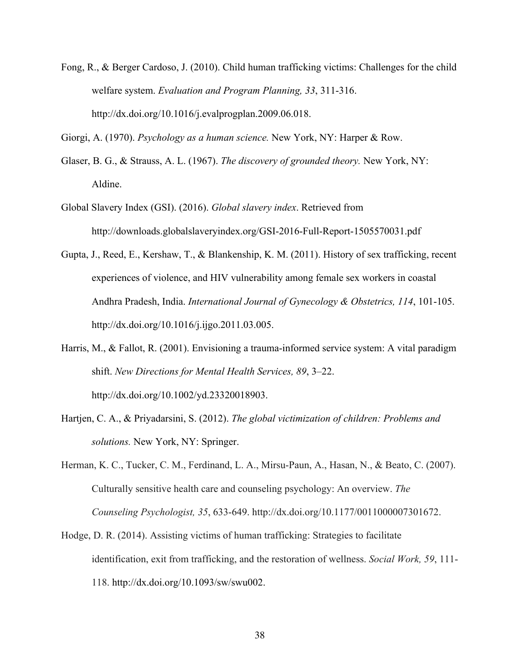Fong, R., & Berger Cardoso, J. (2010). Child human trafficking victims: Challenges for the child welfare system. *Evaluation and Program Planning, 33*, 311-316. http://dx.doi.org/10.1016/j.evalprogplan.2009.06.018.

Giorgi, A. (1970). *Psychology as a human science.* New York, NY: Harper & Row.

- Glaser, B. G., & Strauss, A. L. (1967). *The discovery of grounded theory.* New York, NY: Aldine.
- Global Slavery Index (GSI). (2016). *Global slavery index*. Retrieved from http://downloads.globalslaveryindex.org/GSI-2016-Full-Report-1505570031.pdf
- Gupta, J., Reed, E., Kershaw, T., & Blankenship, K. M. (2011). History of sex trafficking, recent experiences of violence, and HIV vulnerability among female sex workers in coastal Andhra Pradesh, India. *International Journal of Gynecology & Obstetrics, 114*, 101-105. http://dx.doi.org/10.1016/j.ijgo.2011.03.005.
- Harris, M., & Fallot, R. (2001). Envisioning a trauma-informed service system: A vital paradigm shift. *New Directions for Mental Health Services, 89*, 3–22. http://dx.doi.org/10.1002/yd.23320018903.
- Hartjen, C. A., & Priyadarsini, S. (2012). *The global victimization of children: Problems and solutions.* New York, NY: Springer.
- Herman, K. C., Tucker, C. M., Ferdinand, L. A., Mirsu-Paun, A., Hasan, N., & Beato, C. (2007). Culturally sensitive health care and counseling psychology: An overview. *The Counseling Psychologist, 35*, 633-649. http://dx.doi.org/10.1177/0011000007301672.
- Hodge, D. R. (2014). Assisting victims of human trafficking: Strategies to facilitate identification, exit from trafficking, and the restoration of wellness. *Social Work, 59*, 111- 118. http://dx.doi.org/10.1093/sw/swu002.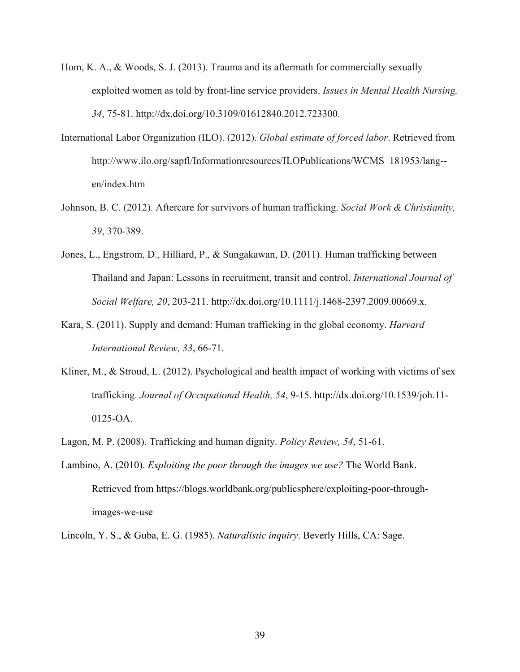- Hom, K. A., & Woods, S. J. (2013). Trauma and its aftermath for commercially sexually exploited women as told by front-line service providers. *Issues in Mental Health Nursing, 34*, 75-81. http://dx.doi.org/10.3109/01612840.2012.723300.
- International Labor Organization (ILO). (2012). *Global estimate of forced labor*. Retrieved from http://www.ilo.org/sapfl/Informationresources/ILOPublications/WCMS\_181953/lang- en/index.htm
- Johnson, B. C. (2012). Aftercare for survivors of human trafficking. *Social Work & Christianity, 39*, 370-389.
- Jones, L., Engstrom, D., Hilliard, P., & Sungakawan, D. (2011). Human trafficking between Thailand and Japan: Lessons in recruitment, transit and control. *International Journal of Social Welfare, 20*, 203-211. http://dx.doi.org/10.1111/j.1468-2397.2009.00669.x.
- Kara, S. (2011). Supply and demand: Human trafficking in the global economy. *Harvard International Review, 33*, 66-71.
- Kliner, M., & Stroud, L. (2012). Psychological and health impact of working with victims of sex trafficking. *Journal of Occupational Health, 54*, 9-15. http://dx.doi.org/10.1539/joh.11- 0125-OA.
- Lagon, M. P. (2008). Trafficking and human dignity. *Policy Review, 54*, 51-61.
- Lambino, A. (2010). *Exploiting the poor through the images we use?* The World Bank. Retrieved from https://blogs.worldbank.org/publicsphere/exploiting-poor-throughimages-we-use
- Lincoln, Y. S., & Guba, E. G. (1985). *Naturalistic inquiry*. Beverly Hills, CA: Sage.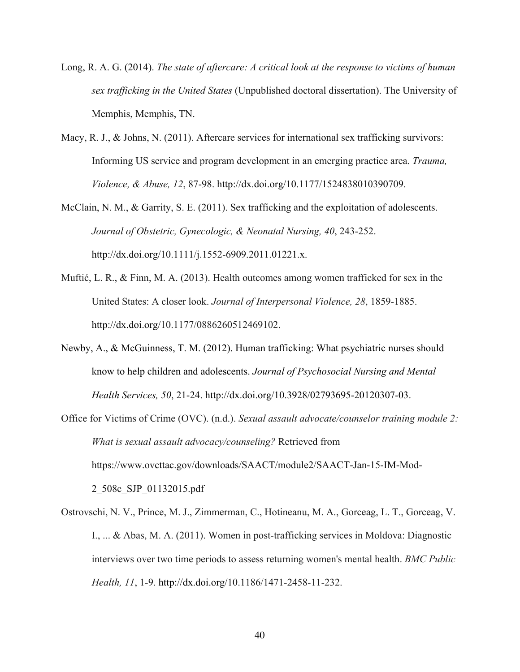- Long, R. A. G. (2014). *The state of aftercare: A critical look at the response to victims of human sex trafficking in the United States* (Unpublished doctoral dissertation). The University of Memphis, Memphis, TN.
- Macy, R. J., & Johns, N. (2011). Aftercare services for international sex trafficking survivors: Informing US service and program development in an emerging practice area. *Trauma, Violence, & Abuse, 12*, 87-98. http://dx.doi.org/10.1177/1524838010390709.
- McClain, N. M., & Garrity, S. E. (2011). Sex trafficking and the exploitation of adolescents. *Journal of Obstetric, Gynecologic, & Neonatal Nursing, 40*, 243-252. http://dx.doi.org/10.1111/j.1552-6909.2011.01221.x.
- Muftić, L. R., & Finn, M. A. (2013). Health outcomes among women trafficked for sex in the United States: A closer look. *Journal of Interpersonal Violence, 28*, 1859-1885. http://dx.doi.org/10.1177/0886260512469102.
- Newby, A., & McGuinness, T. M. (2012). Human trafficking: What psychiatric nurses should know to help children and adolescents. *Journal of Psychosocial Nursing and Mental Health Services, 50*, 21-24. http://dx.doi.org/10.3928/02793695-20120307-03.
- Office for Victims of Crime (OVC). (n.d.). *Sexual assault advocate/counselor training module 2: What is sexual assault advocacy/counseling?* Retrieved from https://www.ovcttac.gov/downloads/SAACT/module2/SAACT-Jan-15-IM-Mod-2\_508c\_SJP\_01132015.pdf
- Ostrovschi, N. V., Prince, M. J., Zimmerman, C., Hotineanu, M. A., Gorceag, L. T., Gorceag, V. I., ... & Abas, M. A. (2011). Women in post-trafficking services in Moldova: Diagnostic interviews over two time periods to assess returning women's mental health. *BMC Public Health, 11*, 1-9. http://dx.doi.org/10.1186/1471-2458-11-232.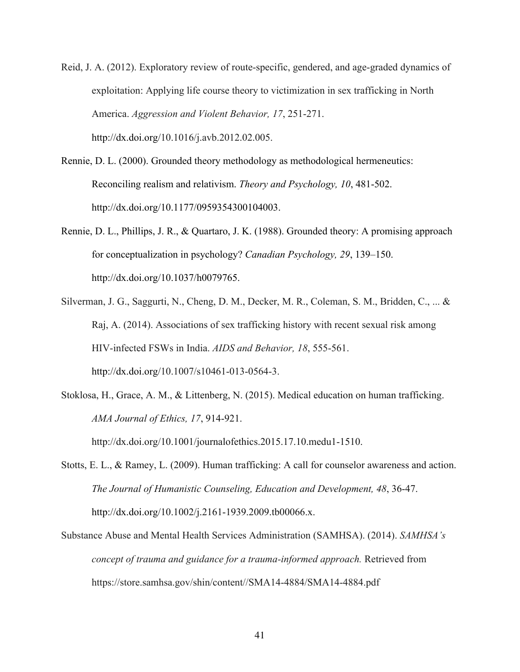Reid, J. A. (2012). Exploratory review of route-specific, gendered, and age-graded dynamics of exploitation: Applying life course theory to victimization in sex trafficking in North America. *Aggression and Violent Behavior, 17*, 251-271. http://dx.doi.org/10.1016/j.avb.2012.02.005.

- Rennie, D. L. (2000). Grounded theory methodology as methodological hermeneutics: Reconciling realism and relativism. *Theory and Psychology, 10*, 481-502. http://dx.doi.org/10.1177/0959354300104003.
- Rennie, D. L., Phillips, J. R., & Quartaro, J. K. (1988). Grounded theory: A promising approach for conceptualization in psychology? *Canadian Psychology, 29*, 139–150. http://dx.doi.org/10.1037/h0079765.
- Silverman, J. G., Saggurti, N., Cheng, D. M., Decker, M. R., Coleman, S. M., Bridden, C., ... & Raj, A. (2014). Associations of sex trafficking history with recent sexual risk among HIV-infected FSWs in India. *AIDS and Behavior, 18*, 555-561. http://dx.doi.org/10.1007/s10461-013-0564-3.
- Stoklosa, H., Grace, A. M., & Littenberg, N. (2015). Medical education on human trafficking. *AMA Journal of Ethics, 17*, 914-921.

http://dx.doi.org/10.1001/journalofethics.2015.17.10.medu1-1510.

- Stotts, E. L., & Ramey, L. (2009). Human trafficking: A call for counselor awareness and action. *The Journal of Humanistic Counseling, Education and Development, 48*, 36-47. http://dx.doi.org/10.1002/j.2161-1939.2009.tb00066.x.
- Substance Abuse and Mental Health Services Administration (SAMHSA). (2014). *SAMHSA's concept of trauma and guidance for a trauma-informed approach.* Retrieved from https://store.samhsa.gov/shin/content//SMA14-4884/SMA14-4884.pdf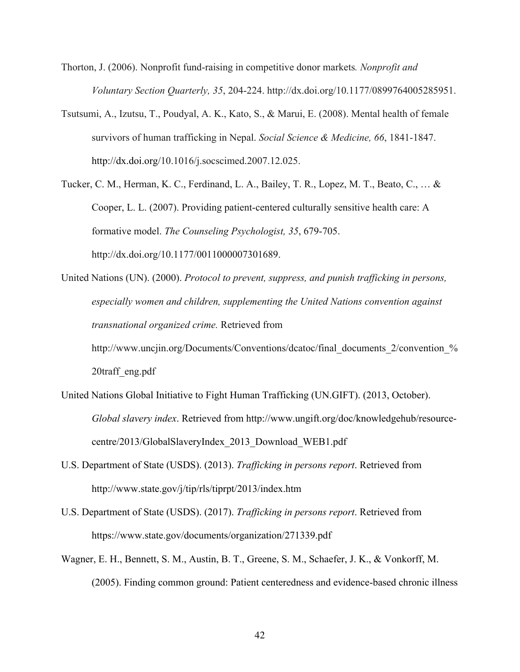- Thorton, J. (2006). Nonprofit fund-raising in competitive donor markets*. Nonprofit and Voluntary Section Quarterly, 35*, 204-224. http://dx.doi.org/10.1177/0899764005285951.
- Tsutsumi, A., Izutsu, T., Poudyal, A. K., Kato, S., & Marui, E. (2008). Mental health of female survivors of human trafficking in Nepal. *Social Science & Medicine, 66*, 1841-1847. http://dx.doi.org/10.1016/j.socscimed.2007.12.025.
- Tucker, C. M., Herman, K. C., Ferdinand, L. A., Bailey, T. R., Lopez, M. T., Beato, C., … & Cooper, L. L. (2007). Providing patient-centered culturally sensitive health care: A formative model. *The Counseling Psychologist, 35*, 679-705. http://dx.doi.org/10.1177/0011000007301689.
- United Nations (UN). (2000). *Protocol to prevent, suppress, and punish trafficking in persons, especially women and children, supplementing the United Nations convention against transnational organized crime.* Retrieved from http://www.uncjin.org/Documents/Conventions/dcatoc/final\_documents\_2/convention\_% 20traff\_eng.pdf
- United Nations Global Initiative to Fight Human Trafficking (UN.GIFT). (2013, October). *Global slavery index*. Retrieved from http://www.ungift.org/doc/knowledgehub/resourcecentre/2013/GlobalSlaveryIndex\_2013\_Download\_WEB1.pdf
- U.S. Department of State (USDS). (2013). *Trafficking in persons report*. Retrieved from http://www.state.gov/j/tip/rls/tiprpt/2013/index.htm
- U.S. Department of State (USDS). (2017). *Trafficking in persons report*. Retrieved from https://www.state.gov/documents/organization/271339.pdf
- Wagner, E. H., Bennett, S. M., Austin, B. T., Greene, S. M., Schaefer, J. K., & Vonkorff, M. (2005). Finding common ground: Patient centeredness and evidence-based chronic illness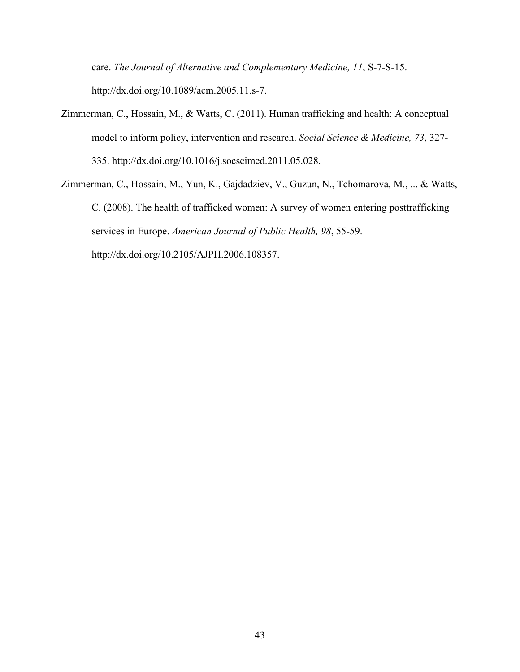care. *The Journal of Alternative and Complementary Medicine, 11*, S-7-S-15. http://dx.doi.org/10.1089/acm.2005.11.s-7.

- Zimmerman, C., Hossain, M., & Watts, C. (2011). Human trafficking and health: A conceptual model to inform policy, intervention and research. *Social Science & Medicine, 73*, 327- 335. http://dx.doi.org/10.1016/j.socscimed.2011.05.028.
- Zimmerman, C., Hossain, M., Yun, K., Gajdadziev, V., Guzun, N., Tchomarova, M., ... & Watts, C. (2008). The health of trafficked women: A survey of women entering posttrafficking services in Europe. *American Journal of Public Health, 98*, 55-59. http://dx.doi.org/10.2105/AJPH.2006.108357.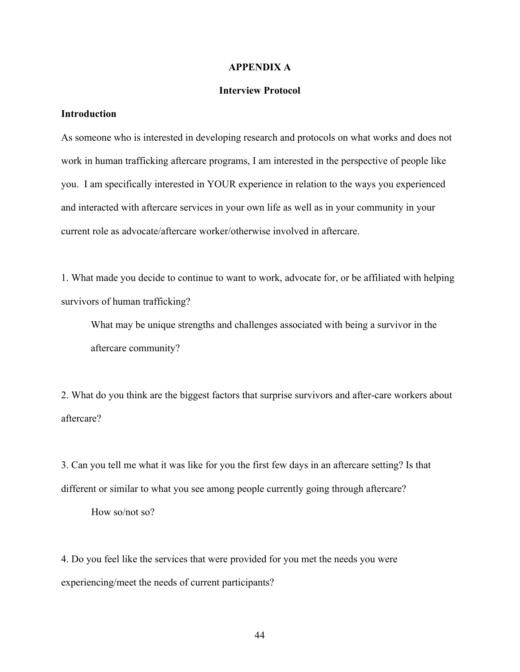#### **APPENDIX A**

## **Interview Protocol**

# **Introduction**

As someone who is interested in developing research and protocols on what works and does not work in human trafficking aftercare programs, I am interested in the perspective of people like you. I am specifically interested in YOUR experience in relation to the ways you experienced and interacted with aftercare services in your own life as well as in your community in your current role as advocate/aftercare worker/otherwise involved in aftercare.

1. What made you decide to continue to want to work, advocate for, or be affiliated with helping survivors of human trafficking?

What may be unique strengths and challenges associated with being a survivor in the aftercare community?

2. What do you think are the biggest factors that surprise survivors and after-care workers about aftercare?

3. Can you tell me what it was like for you the first few days in an aftercare setting? Is that different or similar to what you see among people currently going through aftercare?

How so/not so?

4. Do you feel like the services that were provided for you met the needs you were experiencing/meet the needs of current participants?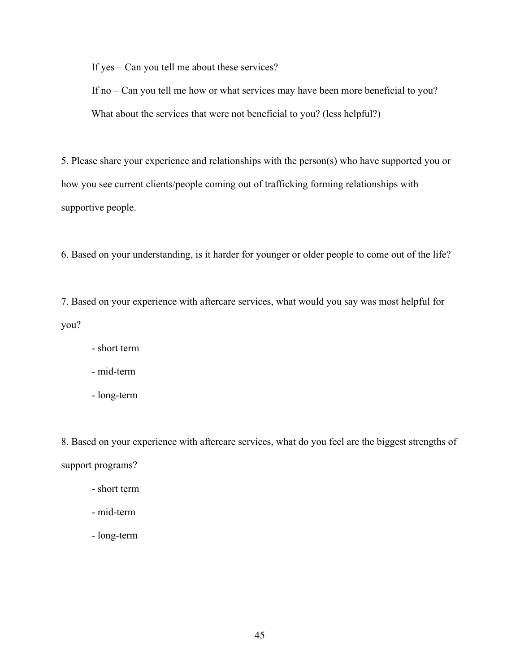If yes – Can you tell me about these services?

If no – Can you tell me how or what services may have been more beneficial to you? What about the services that were not beneficial to you? (less helpful?)

5. Please share your experience and relationships with the person(s) who have supported you or how you see current clients/people coming out of trafficking forming relationships with supportive people.

6. Based on your understanding, is it harder for younger or older people to come out of the life?

7. Based on your experience with aftercare services, what would you say was most helpful for you?

- short term
- mid-term
- long-term

8. Based on your experience with aftercare services, what do you feel are the biggest strengths of support programs?

- short term
- mid-term
- long-term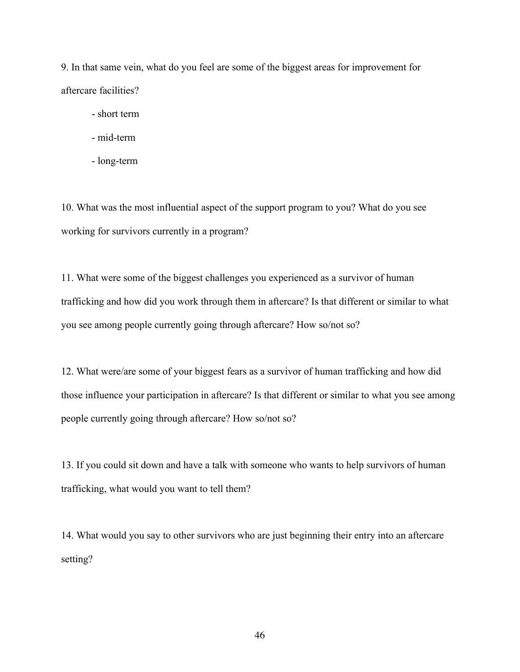9. In that same vein, what do you feel are some of the biggest areas for improvement for aftercare facilities?

- short term
- mid-term
- long-term

10. What was the most influential aspect of the support program to you? What do you see working for survivors currently in a program?

11. What were some of the biggest challenges you experienced as a survivor of human trafficking and how did you work through them in aftercare? Is that different or similar to what you see among people currently going through aftercare? How so/not so?

12. What were/are some of your biggest fears as a survivor of human trafficking and how did those influence your participation in aftercare? Is that different or similar to what you see among people currently going through aftercare? How so/not so?

13. If you could sit down and have a talk with someone who wants to help survivors of human trafficking, what would you want to tell them?

14. What would you say to other survivors who are just beginning their entry into an aftercare setting?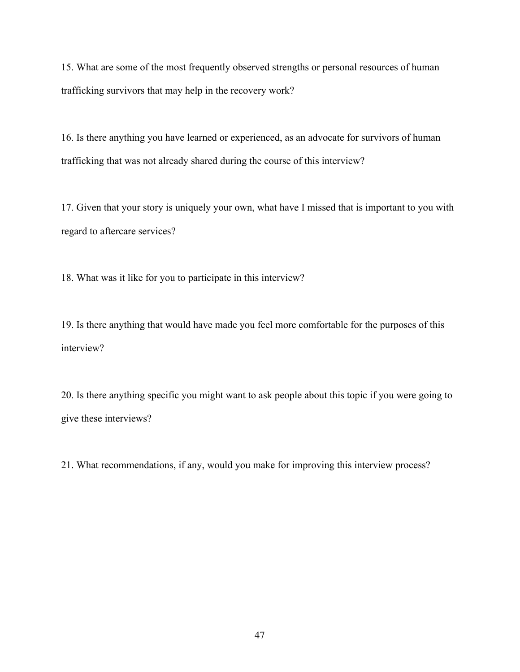15. What are some of the most frequently observed strengths or personal resources of human trafficking survivors that may help in the recovery work?

16. Is there anything you have learned or experienced, as an advocate for survivors of human trafficking that was not already shared during the course of this interview?

17. Given that your story is uniquely your own, what have I missed that is important to you with regard to aftercare services?

18. What was it like for you to participate in this interview?

19. Is there anything that would have made you feel more comfortable for the purposes of this interview?

20. Is there anything specific you might want to ask people about this topic if you were going to give these interviews?

21. What recommendations, if any, would you make for improving this interview process?